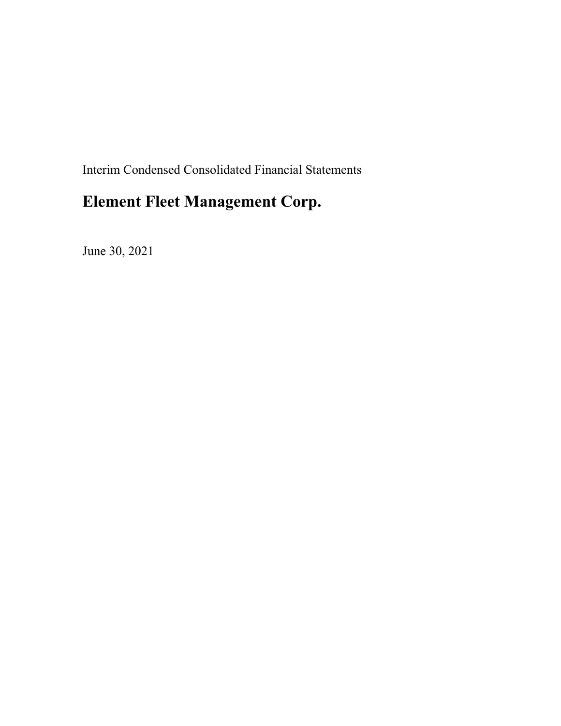Interim Condensed Consolidated Financial Statements

# **Element Fleet Management Corp.**

June 30, 2021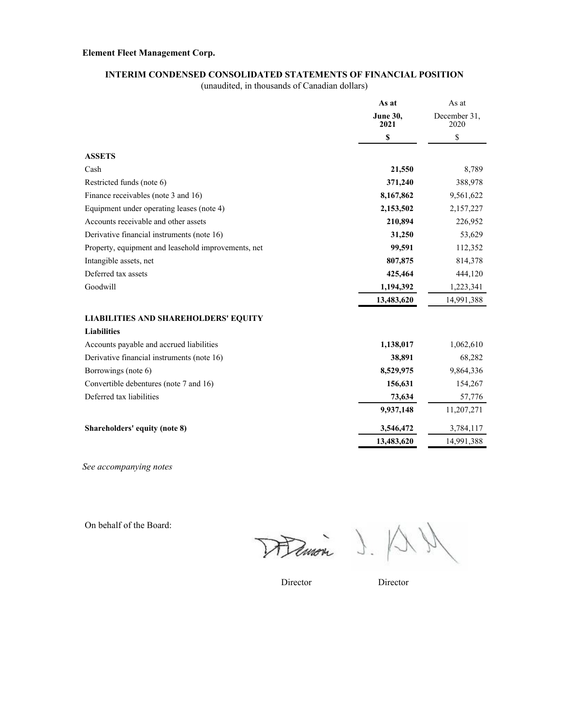#### **INTERIM CONDENSED CONSOLIDATED STATEMENTS OF FINANCIAL POSITION**

(unaudited, in thousands of Canadian dollars)

|                                                     | As at                   | As at                |  |
|-----------------------------------------------------|-------------------------|----------------------|--|
|                                                     | <b>June 30,</b><br>2021 | December 31,<br>2020 |  |
|                                                     | \$                      | \$                   |  |
| <b>ASSETS</b>                                       |                         |                      |  |
| Cash                                                | 21,550                  | 8,789                |  |
| Restricted funds (note 6)                           | 371,240                 | 388,978              |  |
| Finance receivables (note 3 and 16)                 | 8,167,862               | 9,561,622            |  |
| Equipment under operating leases (note 4)           | 2,153,502               | 2,157,227            |  |
| Accounts receivable and other assets                | 210,894                 | 226,952              |  |
| Derivative financial instruments (note 16)          | 31,250                  | 53,629               |  |
| Property, equipment and leasehold improvements, net | 99,591                  | 112,352              |  |
| Intangible assets, net                              | 807,875                 | 814,378              |  |
| Deferred tax assets                                 | 425,464                 | 444,120              |  |
| Goodwill                                            | 1,194,392               | 1,223,341            |  |
|                                                     | 13,483,620              | 14,991,388           |  |
| <b>LIABILITIES AND SHAREHOLDERS' EQUITY</b>         |                         |                      |  |
| <b>Liabilities</b>                                  |                         |                      |  |
| Accounts payable and accrued liabilities            | 1,138,017               | 1,062,610            |  |
| Derivative financial instruments (note 16)          | 38,891                  | 68,282               |  |
| Borrowings (note 6)                                 | 8,529,975               | 9,864,336            |  |
| Convertible debentures (note 7 and 16)              | 156,631                 | 154,267              |  |
| Deferred tax liabilities                            | 73,634                  | 57,776               |  |
|                                                     | 9,937,148               | 11,207,271           |  |
| Shareholders' equity (note 8)                       | 3,546,472               | 3,784,117            |  |
|                                                     | 13,483,620              | 14,991,388           |  |

*See accompanying notes*

On behalf of the Board:

Hemon J.

Director Director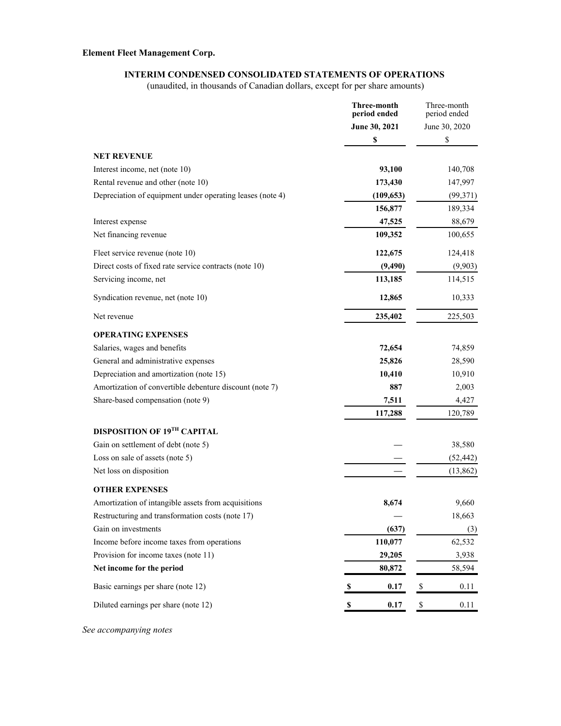### **INTERIM CONDENSED CONSOLIDATED STATEMENTS OF OPERATIONS**

(unaudited, in thousands of Canadian dollars, except for per share amounts)

|                                                           | Three-month<br>period ended | Three-month<br>period ended |
|-----------------------------------------------------------|-----------------------------|-----------------------------|
|                                                           | June 30, 2021               | June 30, 2020               |
|                                                           | \$                          | \$                          |
| <b>NET REVENUE</b>                                        |                             |                             |
| Interest income, net (note 10)                            | 93,100                      | 140,708                     |
| Rental revenue and other (note 10)                        | 173,430                     | 147,997                     |
| Depreciation of equipment under operating leases (note 4) | (109, 653)                  | (99,371)                    |
|                                                           | 156,877                     | 189,334                     |
| Interest expense                                          | 47,525                      | 88,679                      |
| Net financing revenue                                     | 109,352                     | 100,655                     |
|                                                           |                             |                             |
| Fleet service revenue (note 10)                           | 122,675                     | 124,418                     |
| Direct costs of fixed rate service contracts (note 10)    | (9, 490)                    | (9,903)                     |
| Servicing income, net                                     | 113,185                     | 114,515                     |
| Syndication revenue, net (note 10)                        | 12,865                      | 10,333                      |
| Net revenue                                               | 235,402                     | 225,503                     |
| <b>OPERATING EXPENSES</b>                                 |                             |                             |
| Salaries, wages and benefits                              | 72,654                      | 74,859                      |
| General and administrative expenses                       | 25,826                      | 28,590                      |
| Depreciation and amortization (note 15)                   | 10,410                      | 10,910                      |
| Amortization of convertible debenture discount (note 7)   | 887                         | 2,003                       |
| Share-based compensation (note 9)                         | 7,511                       | 4,427                       |
|                                                           | 117,288                     | 120,789                     |
| DISPOSITION OF 19TH CAPITAL                               |                             |                             |
| Gain on settlement of debt (note 5)                       |                             | 38,580                      |
| Loss on sale of assets (note 5)                           |                             | (52, 442)                   |
| Net loss on disposition                                   |                             | (13,862)                    |
| <b>OTHER EXPENSES</b>                                     |                             |                             |
| Amortization of intangible assets from acquisitions       | 8,674                       | 9,660                       |
| Restructuring and transformation costs (note 17)          |                             | 18,663                      |
| Gain on investments                                       | (637)                       | (3)                         |
| Income before income taxes from operations                | 110,077                     | 62,532                      |
| Provision for income taxes (note 11)                      | 29,205                      | 3,938                       |
| Net income for the period                                 | 80,872                      | 58,594                      |
| Basic earnings per share (note 12)                        | 0.17<br>S                   | 0.11<br>\$                  |
| Diluted earnings per share (note 12)                      | $\pmb{\mathbb{S}}$<br>0.17  | $\pmb{\mathbb{S}}$<br>0.11  |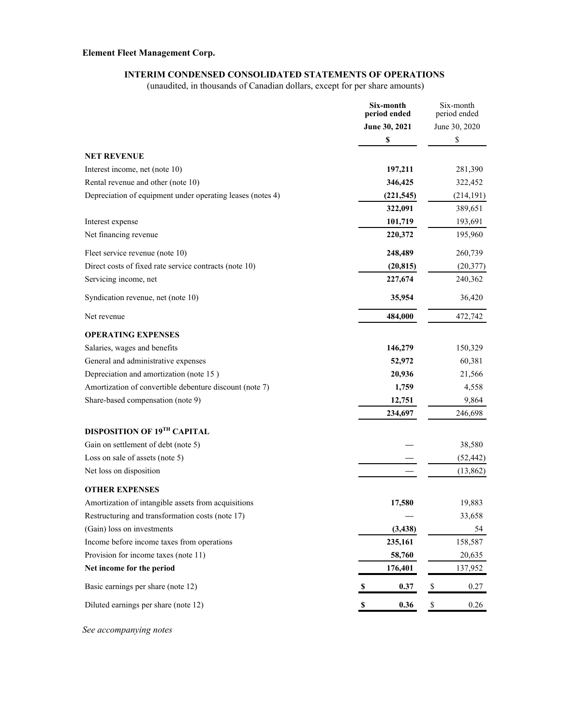### **INTERIM CONDENSED CONSOLIDATED STATEMENTS OF OPERATIONS**

(unaudited, in thousands of Canadian dollars, except for per share amounts)

|                                                            | Six-month<br>period ended         | Six-month<br>period ended  |
|------------------------------------------------------------|-----------------------------------|----------------------------|
|                                                            | June 30, 2021                     | June 30, 2020              |
|                                                            | \$                                | \$                         |
| <b>NET REVENUE</b>                                         |                                   |                            |
| Interest income, net (note 10)                             | 197,211                           | 281,390                    |
| Rental revenue and other (note 10)                         | 346,425                           | 322,452                    |
| Depreciation of equipment under operating leases (notes 4) | (221, 545)                        | (214, 191)                 |
|                                                            | 322,091                           | 389,651                    |
| Interest expense                                           | 101,719                           | 193,691                    |
| Net financing revenue                                      | 220,372                           | 195,960                    |
| Fleet service revenue (note 10)                            | 248,489                           | 260,739                    |
| Direct costs of fixed rate service contracts (note 10)     | (20, 815)                         | (20, 377)                  |
| Servicing income, net                                      | 227,674                           | 240,362                    |
| Syndication revenue, net (note 10)                         | 35,954                            | 36,420                     |
| Net revenue                                                | 484,000                           | 472,742                    |
| <b>OPERATING EXPENSES</b>                                  |                                   |                            |
| Salaries, wages and benefits                               | 146,279                           | 150,329                    |
| General and administrative expenses                        | 52,972                            | 60,381                     |
| Depreciation and amortization (note 15)                    | 20,936                            | 21,566                     |
| Amortization of convertible debenture discount (note 7)    | 1,759                             | 4,558                      |
| Share-based compensation (note 9)                          | 12,751                            | 9,864                      |
|                                                            | 234,697                           | 246,698                    |
| DISPOSITION OF 19TH CAPITAL                                |                                   |                            |
| Gain on settlement of debt (note 5)                        |                                   | 38,580                     |
| Loss on sale of assets (note 5)                            |                                   | (52, 442)                  |
| Net loss on disposition                                    |                                   | (13,862)                   |
| <b>OTHER EXPENSES</b>                                      |                                   |                            |
| Amortization of intangible assets from acquisitions        | 17,580                            | 19,883                     |
| Restructuring and transformation costs (note 17)           |                                   | 33,658                     |
| (Gain) loss on investments                                 | (3, 438)                          | 54                         |
| Income before income taxes from operations                 | 235,161                           | 158,587                    |
| Provision for income taxes (note 11)                       | 58,760                            | 20,635                     |
| Net income for the period                                  | 176,401                           | 137,952                    |
| Basic earnings per share (note 12)                         | 0.37<br>S                         | \$<br>0.27                 |
| Diluted earnings per share (note 12)                       | 0.36<br>$\boldsymbol{\mathsf{s}}$ | $\pmb{\mathbb{S}}$<br>0.26 |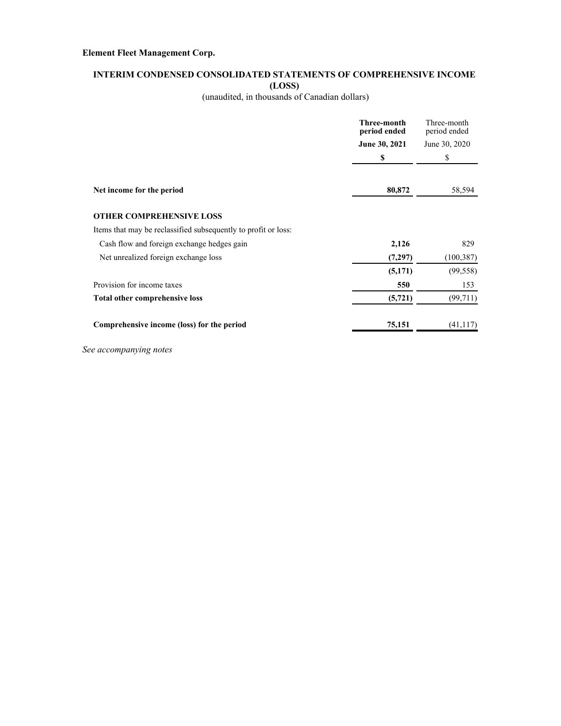#### **INTERIM CONDENSED CONSOLIDATED STATEMENTS OF COMPREHENSIVE INCOME (LOSS)**

(unaudited, in thousands of Canadian dollars)

|                                                                | <b>Three-month</b><br>period ended | Three-month<br>period ended |  |
|----------------------------------------------------------------|------------------------------------|-----------------------------|--|
|                                                                | June 30, 2021                      | June 30, 2020               |  |
|                                                                | \$                                 | \$                          |  |
|                                                                | 80,872                             |                             |  |
| Net income for the period                                      |                                    | 58,594                      |  |
| <b>OTHER COMPREHENSIVE LOSS</b>                                |                                    |                             |  |
| Items that may be reclassified subsequently to profit or loss: |                                    |                             |  |
| Cash flow and foreign exchange hedges gain                     | 2,126                              | 829                         |  |
| Net unrealized foreign exchange loss                           | (7,297)                            | (100, 387)                  |  |
|                                                                | (5,171)                            | (99, 558)                   |  |
| Provision for income taxes                                     | 550                                | 153                         |  |
| Total other comprehensive loss                                 | (5, 721)                           | (99, 711)                   |  |
| Comprehensive income (loss) for the period                     | 75,151                             | (41, 117)                   |  |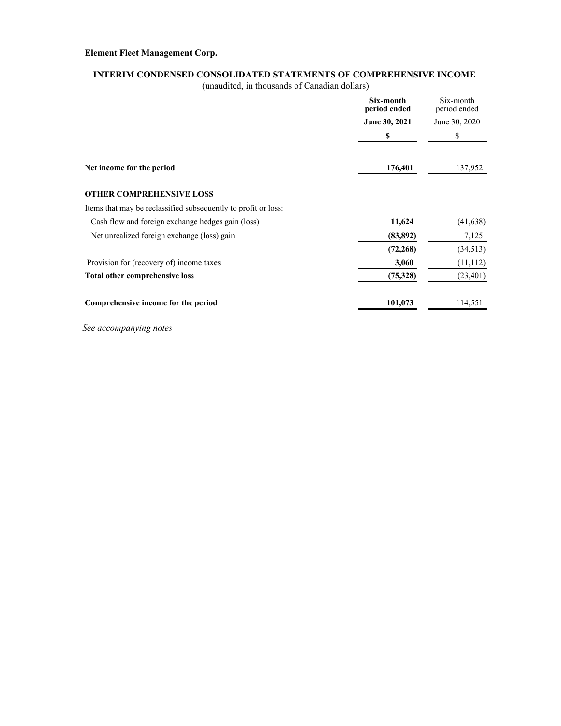#### **INTERIM CONDENSED CONSOLIDATED STATEMENTS OF COMPREHENSIVE INCOME**

(unaudited, in thousands of Canadian dollars)

|                                                                | Six-month<br>period ended | Six-month<br>period ended |  |
|----------------------------------------------------------------|---------------------------|---------------------------|--|
|                                                                | June 30, 2021             | June 30, 2020             |  |
|                                                                | \$                        | \$                        |  |
| Net income for the period                                      | 176,401                   | 137,952                   |  |
| <b>OTHER COMPREHENSIVE LOSS</b>                                |                           |                           |  |
| Items that may be reclassified subsequently to profit or loss: |                           |                           |  |
| Cash flow and foreign exchange hedges gain (loss)              | 11,624                    | (41, 638)                 |  |
| Net unrealized foreign exchange (loss) gain                    | (83, 892)                 | 7,125                     |  |
|                                                                | (72, 268)                 | (34,513)                  |  |
| Provision for (recovery of) income taxes                       | 3,060                     | (11, 112)                 |  |
| Total other comprehensive loss                                 | (75,328)                  | (23, 401)                 |  |
| Comprehensive income for the period                            | 101,073                   | 114,551                   |  |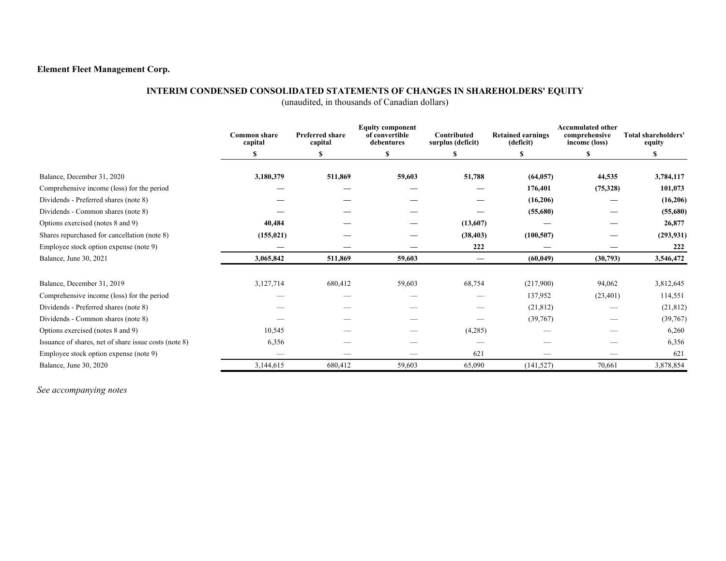### **INTERIM CONDENSED CONSOLIDATED STATEMENTS OF CHANGES IN SHAREHOLDERS' EQUITY**

(unaudited, in thousands of Canadian dollars)

|                                                       | <b>Common share</b><br>capital | <b>Preferred share</b><br>capital | <b>Equity component</b><br>of convertible<br>debentures | <b>Contributed</b><br>surplus (deficit) | <b>Retained earnings</b><br>(deficit) | <b>Accumulated other</b><br>comprehensive<br>income (loss) | Total shareholders'<br>equity |
|-------------------------------------------------------|--------------------------------|-----------------------------------|---------------------------------------------------------|-----------------------------------------|---------------------------------------|------------------------------------------------------------|-------------------------------|
|                                                       | S                              | S                                 | <sup>\$</sup>                                           | S                                       |                                       | S                                                          | S                             |
| Balance, December 31, 2020                            | 3,180,379                      | 511,869                           | 59,603                                                  | 51,788                                  | (64, 057)                             | 44,535                                                     | 3,784,117                     |
| Comprehensive income (loss) for the period            |                                |                                   |                                                         |                                         | 176,401                               |                                                            | 101,073                       |
|                                                       |                                |                                   |                                                         |                                         |                                       | (75,328)                                                   |                               |
| Dividends - Preferred shares (note 8)                 |                                |                                   |                                                         |                                         | (16,206)                              |                                                            | (16,206)                      |
| Dividends - Common shares (note 8)                    |                                |                                   |                                                         |                                         | (55,680)                              |                                                            | (55,680)                      |
| Options exercised (notes 8 and 9)                     | 40,484                         |                                   |                                                         | (13,607)                                |                                       |                                                            | 26,877                        |
| Shares repurchased for cancellation (note 8)          | (155, 021)                     |                                   |                                                         | (38, 403)                               | (100, 507)                            |                                                            | (293, 931)                    |
| Employee stock option expense (note 9)                |                                |                                   |                                                         | 222                                     |                                       |                                                            | 222                           |
| Balance, June 30, 2021                                | 3,065,842                      | 511,869                           | 59,603                                                  |                                         | (60, 049)                             | (30,793)                                                   | 3,546,472                     |
| Balance, December 31, 2019                            | 3,127,714                      | 680,412                           | 59,603                                                  | 68,754                                  | (217,900)                             | 94,062                                                     | 3,812,645                     |
|                                                       |                                |                                   |                                                         |                                         |                                       |                                                            |                               |
| Comprehensive income (loss) for the period            |                                |                                   |                                                         |                                         | 137,952                               | (23, 401)                                                  | 114,551                       |
| Dividends - Preferred shares (note 8)                 |                                |                                   |                                                         |                                         | (21, 812)                             |                                                            | (21, 812)                     |
| Dividends - Common shares (note 8)                    |                                |                                   |                                                         |                                         | (39,767)                              |                                                            | (39,767)                      |
| Options exercised (notes 8 and 9)                     | 10,545                         |                                   |                                                         | (4,285)                                 |                                       |                                                            | 6,260                         |
| Issuance of shares, net of share issue costs (note 8) | 6,356                          |                                   |                                                         |                                         |                                       |                                                            | 6,356                         |
| Employee stock option expense (note 9)                |                                |                                   |                                                         | 621                                     |                                       |                                                            | 621                           |
| Balance, June 30, 2020                                | 3,144,615                      | 680,412                           | 59,603                                                  | 65,090                                  | (141, 527)                            | 70,661                                                     | 3,878,854                     |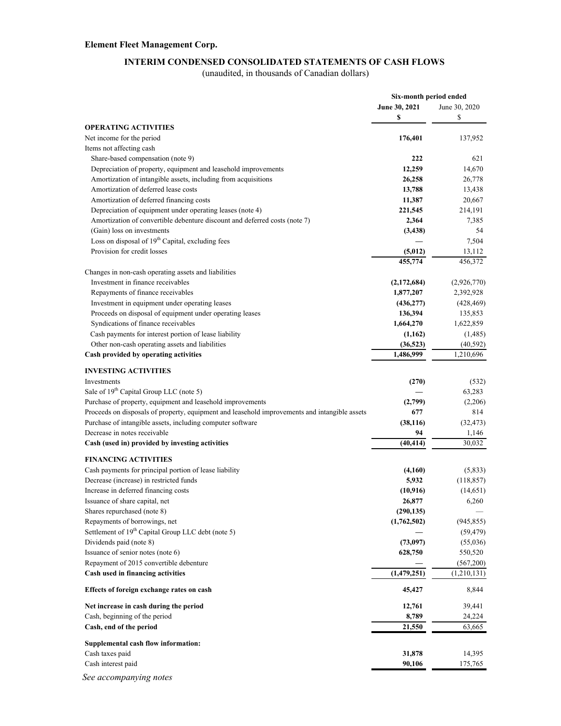### **INTERIM CONDENSED CONSOLIDATED STATEMENTS OF CASH FLOWS**

(unaudited, in thousands of Canadian dollars)

| June 30, 2021<br>June 30, 2020<br>\$<br>\$<br><b>OPERATING ACTIVITIES</b><br>Net income for the period<br>176,401<br>137,952<br>Items not affecting cash<br>Share-based compensation (note 9)<br>222<br>621<br>Depreciation of property, equipment and leasehold improvements<br>12,259<br>14,670<br>Amortization of intangible assets, including from acquisitions<br>26,258<br>26,778<br>Amortization of deferred lease costs<br>13,788<br>13,438<br>Amortization of deferred financing costs<br>20,667<br>11,387<br>Depreciation of equipment under operating leases (note 4)<br>221,545<br>214,191<br>Amortization of convertible debenture discount and deferred costs (note 7)<br>2,364<br>7,385<br>(Gain) loss on investments<br>54<br>(3, 438)<br>Loss on disposal of 19 <sup>th</sup> Capital, excluding fees<br>7,504<br>Provision for credit losses<br>(5,012)<br>13,112<br>455,774<br>456,372<br>Changes in non-cash operating assets and liabilities<br>Investment in finance receivables<br>(2,926,770)<br>(2,172,684)<br>Repayments of finance receivables<br>1,877,207<br>2,392,928<br>Investment in equipment under operating leases<br>(428, 469)<br>(436, 277)<br>Proceeds on disposal of equipment under operating leases<br>136,394<br>135,853<br>Syndications of finance receivables<br>1,664,270<br>1,622,859<br>Cash payments for interest portion of lease liability<br>(1,162)<br>(1,485)<br>Other non-cash operating assets and liabilities<br>(36, 523)<br>(40, 592)<br>Cash provided by operating activities<br>1,486,999<br>1,210,696<br><b>INVESTING ACTIVITIES</b><br>Investments<br>(270)<br>(532)<br>Sale of 19 <sup>th</sup> Capital Group LLC (note 5)<br>63,283<br>Purchase of property, equipment and leasehold improvements<br>(2,799)<br>(2,206)<br>Proceeds on disposals of property, equipment and leasehold improvements and intangible assets<br>677<br>814<br>Purchase of intangible assets, including computer software<br>(38, 116)<br>(32, 473)<br>Decrease in notes receivable<br>94<br>1,146<br>(40, 414)<br>30,032<br>Cash (used in) provided by investing activities<br><b>FINANCING ACTIVITIES</b><br>Cash payments for principal portion of lease liability<br>(4,160)<br>(5,833)<br>Decrease (increase) in restricted funds<br>5,932<br>(118, 857)<br>Increase in deferred financing costs<br>(10, 916)<br>(14,651)<br>26,877<br>Issuance of share capital, net<br>6,260<br>Shares repurchased (note 8)<br>(290, 135)<br>Repayments of borrowings, net<br>(1,762,502)<br>(945, 855)<br>Settlement of 19 <sup>th</sup> Capital Group LLC debt (note 5)<br>(59, 479)<br>Dividends paid (note 8)<br>(73,097)<br>(55,036)<br>Issuance of senior notes (note 6)<br>628,750<br>550,520<br>Repayment of 2015 convertible debenture<br>(567,200)<br>Cash used in financing activities<br>(1,479,251)<br>(1,210,131)<br>Effects of foreign exchange rates on cash<br>45,427<br>8,844<br>Net increase in cash during the period<br>12,761<br>39,441<br>Cash, beginning of the period<br>24,224<br>8,789<br>Cash, end of the period<br>21,550<br>63,665<br>Supplemental cash flow information:<br>Cash taxes paid<br>31,878<br>14,395<br>Cash interest paid<br>90,106<br>175,765 |                        | Six-month period ended |  |
|------------------------------------------------------------------------------------------------------------------------------------------------------------------------------------------------------------------------------------------------------------------------------------------------------------------------------------------------------------------------------------------------------------------------------------------------------------------------------------------------------------------------------------------------------------------------------------------------------------------------------------------------------------------------------------------------------------------------------------------------------------------------------------------------------------------------------------------------------------------------------------------------------------------------------------------------------------------------------------------------------------------------------------------------------------------------------------------------------------------------------------------------------------------------------------------------------------------------------------------------------------------------------------------------------------------------------------------------------------------------------------------------------------------------------------------------------------------------------------------------------------------------------------------------------------------------------------------------------------------------------------------------------------------------------------------------------------------------------------------------------------------------------------------------------------------------------------------------------------------------------------------------------------------------------------------------------------------------------------------------------------------------------------------------------------------------------------------------------------------------------------------------------------------------------------------------------------------------------------------------------------------------------------------------------------------------------------------------------------------------------------------------------------------------------------------------------------------------------------------------------------------------------------------------------------------------------------------------------------------------------------------------------------------------------------------------------------------------------------------------------------------------------------------------------------------------------------------------------------------------------------------------------------------------------------------------------------------------------------------------------------------------------------------------------------------------------------------------------------------------------------------------------------------------------------------------------------------------------|------------------------|------------------------|--|
|                                                                                                                                                                                                                                                                                                                                                                                                                                                                                                                                                                                                                                                                                                                                                                                                                                                                                                                                                                                                                                                                                                                                                                                                                                                                                                                                                                                                                                                                                                                                                                                                                                                                                                                                                                                                                                                                                                                                                                                                                                                                                                                                                                                                                                                                                                                                                                                                                                                                                                                                                                                                                                                                                                                                                                                                                                                                                                                                                                                                                                                                                                                                                                                                                              |                        |                        |  |
|                                                                                                                                                                                                                                                                                                                                                                                                                                                                                                                                                                                                                                                                                                                                                                                                                                                                                                                                                                                                                                                                                                                                                                                                                                                                                                                                                                                                                                                                                                                                                                                                                                                                                                                                                                                                                                                                                                                                                                                                                                                                                                                                                                                                                                                                                                                                                                                                                                                                                                                                                                                                                                                                                                                                                                                                                                                                                                                                                                                                                                                                                                                                                                                                                              |                        |                        |  |
|                                                                                                                                                                                                                                                                                                                                                                                                                                                                                                                                                                                                                                                                                                                                                                                                                                                                                                                                                                                                                                                                                                                                                                                                                                                                                                                                                                                                                                                                                                                                                                                                                                                                                                                                                                                                                                                                                                                                                                                                                                                                                                                                                                                                                                                                                                                                                                                                                                                                                                                                                                                                                                                                                                                                                                                                                                                                                                                                                                                                                                                                                                                                                                                                                              |                        |                        |  |
|                                                                                                                                                                                                                                                                                                                                                                                                                                                                                                                                                                                                                                                                                                                                                                                                                                                                                                                                                                                                                                                                                                                                                                                                                                                                                                                                                                                                                                                                                                                                                                                                                                                                                                                                                                                                                                                                                                                                                                                                                                                                                                                                                                                                                                                                                                                                                                                                                                                                                                                                                                                                                                                                                                                                                                                                                                                                                                                                                                                                                                                                                                                                                                                                                              |                        |                        |  |
|                                                                                                                                                                                                                                                                                                                                                                                                                                                                                                                                                                                                                                                                                                                                                                                                                                                                                                                                                                                                                                                                                                                                                                                                                                                                                                                                                                                                                                                                                                                                                                                                                                                                                                                                                                                                                                                                                                                                                                                                                                                                                                                                                                                                                                                                                                                                                                                                                                                                                                                                                                                                                                                                                                                                                                                                                                                                                                                                                                                                                                                                                                                                                                                                                              |                        |                        |  |
|                                                                                                                                                                                                                                                                                                                                                                                                                                                                                                                                                                                                                                                                                                                                                                                                                                                                                                                                                                                                                                                                                                                                                                                                                                                                                                                                                                                                                                                                                                                                                                                                                                                                                                                                                                                                                                                                                                                                                                                                                                                                                                                                                                                                                                                                                                                                                                                                                                                                                                                                                                                                                                                                                                                                                                                                                                                                                                                                                                                                                                                                                                                                                                                                                              |                        |                        |  |
|                                                                                                                                                                                                                                                                                                                                                                                                                                                                                                                                                                                                                                                                                                                                                                                                                                                                                                                                                                                                                                                                                                                                                                                                                                                                                                                                                                                                                                                                                                                                                                                                                                                                                                                                                                                                                                                                                                                                                                                                                                                                                                                                                                                                                                                                                                                                                                                                                                                                                                                                                                                                                                                                                                                                                                                                                                                                                                                                                                                                                                                                                                                                                                                                                              |                        |                        |  |
|                                                                                                                                                                                                                                                                                                                                                                                                                                                                                                                                                                                                                                                                                                                                                                                                                                                                                                                                                                                                                                                                                                                                                                                                                                                                                                                                                                                                                                                                                                                                                                                                                                                                                                                                                                                                                                                                                                                                                                                                                                                                                                                                                                                                                                                                                                                                                                                                                                                                                                                                                                                                                                                                                                                                                                                                                                                                                                                                                                                                                                                                                                                                                                                                                              |                        |                        |  |
|                                                                                                                                                                                                                                                                                                                                                                                                                                                                                                                                                                                                                                                                                                                                                                                                                                                                                                                                                                                                                                                                                                                                                                                                                                                                                                                                                                                                                                                                                                                                                                                                                                                                                                                                                                                                                                                                                                                                                                                                                                                                                                                                                                                                                                                                                                                                                                                                                                                                                                                                                                                                                                                                                                                                                                                                                                                                                                                                                                                                                                                                                                                                                                                                                              |                        |                        |  |
|                                                                                                                                                                                                                                                                                                                                                                                                                                                                                                                                                                                                                                                                                                                                                                                                                                                                                                                                                                                                                                                                                                                                                                                                                                                                                                                                                                                                                                                                                                                                                                                                                                                                                                                                                                                                                                                                                                                                                                                                                                                                                                                                                                                                                                                                                                                                                                                                                                                                                                                                                                                                                                                                                                                                                                                                                                                                                                                                                                                                                                                                                                                                                                                                                              |                        |                        |  |
|                                                                                                                                                                                                                                                                                                                                                                                                                                                                                                                                                                                                                                                                                                                                                                                                                                                                                                                                                                                                                                                                                                                                                                                                                                                                                                                                                                                                                                                                                                                                                                                                                                                                                                                                                                                                                                                                                                                                                                                                                                                                                                                                                                                                                                                                                                                                                                                                                                                                                                                                                                                                                                                                                                                                                                                                                                                                                                                                                                                                                                                                                                                                                                                                                              |                        |                        |  |
|                                                                                                                                                                                                                                                                                                                                                                                                                                                                                                                                                                                                                                                                                                                                                                                                                                                                                                                                                                                                                                                                                                                                                                                                                                                                                                                                                                                                                                                                                                                                                                                                                                                                                                                                                                                                                                                                                                                                                                                                                                                                                                                                                                                                                                                                                                                                                                                                                                                                                                                                                                                                                                                                                                                                                                                                                                                                                                                                                                                                                                                                                                                                                                                                                              |                        |                        |  |
|                                                                                                                                                                                                                                                                                                                                                                                                                                                                                                                                                                                                                                                                                                                                                                                                                                                                                                                                                                                                                                                                                                                                                                                                                                                                                                                                                                                                                                                                                                                                                                                                                                                                                                                                                                                                                                                                                                                                                                                                                                                                                                                                                                                                                                                                                                                                                                                                                                                                                                                                                                                                                                                                                                                                                                                                                                                                                                                                                                                                                                                                                                                                                                                                                              |                        |                        |  |
|                                                                                                                                                                                                                                                                                                                                                                                                                                                                                                                                                                                                                                                                                                                                                                                                                                                                                                                                                                                                                                                                                                                                                                                                                                                                                                                                                                                                                                                                                                                                                                                                                                                                                                                                                                                                                                                                                                                                                                                                                                                                                                                                                                                                                                                                                                                                                                                                                                                                                                                                                                                                                                                                                                                                                                                                                                                                                                                                                                                                                                                                                                                                                                                                                              |                        |                        |  |
|                                                                                                                                                                                                                                                                                                                                                                                                                                                                                                                                                                                                                                                                                                                                                                                                                                                                                                                                                                                                                                                                                                                                                                                                                                                                                                                                                                                                                                                                                                                                                                                                                                                                                                                                                                                                                                                                                                                                                                                                                                                                                                                                                                                                                                                                                                                                                                                                                                                                                                                                                                                                                                                                                                                                                                                                                                                                                                                                                                                                                                                                                                                                                                                                                              |                        |                        |  |
|                                                                                                                                                                                                                                                                                                                                                                                                                                                                                                                                                                                                                                                                                                                                                                                                                                                                                                                                                                                                                                                                                                                                                                                                                                                                                                                                                                                                                                                                                                                                                                                                                                                                                                                                                                                                                                                                                                                                                                                                                                                                                                                                                                                                                                                                                                                                                                                                                                                                                                                                                                                                                                                                                                                                                                                                                                                                                                                                                                                                                                                                                                                                                                                                                              |                        |                        |  |
|                                                                                                                                                                                                                                                                                                                                                                                                                                                                                                                                                                                                                                                                                                                                                                                                                                                                                                                                                                                                                                                                                                                                                                                                                                                                                                                                                                                                                                                                                                                                                                                                                                                                                                                                                                                                                                                                                                                                                                                                                                                                                                                                                                                                                                                                                                                                                                                                                                                                                                                                                                                                                                                                                                                                                                                                                                                                                                                                                                                                                                                                                                                                                                                                                              |                        |                        |  |
|                                                                                                                                                                                                                                                                                                                                                                                                                                                                                                                                                                                                                                                                                                                                                                                                                                                                                                                                                                                                                                                                                                                                                                                                                                                                                                                                                                                                                                                                                                                                                                                                                                                                                                                                                                                                                                                                                                                                                                                                                                                                                                                                                                                                                                                                                                                                                                                                                                                                                                                                                                                                                                                                                                                                                                                                                                                                                                                                                                                                                                                                                                                                                                                                                              |                        |                        |  |
|                                                                                                                                                                                                                                                                                                                                                                                                                                                                                                                                                                                                                                                                                                                                                                                                                                                                                                                                                                                                                                                                                                                                                                                                                                                                                                                                                                                                                                                                                                                                                                                                                                                                                                                                                                                                                                                                                                                                                                                                                                                                                                                                                                                                                                                                                                                                                                                                                                                                                                                                                                                                                                                                                                                                                                                                                                                                                                                                                                                                                                                                                                                                                                                                                              |                        |                        |  |
|                                                                                                                                                                                                                                                                                                                                                                                                                                                                                                                                                                                                                                                                                                                                                                                                                                                                                                                                                                                                                                                                                                                                                                                                                                                                                                                                                                                                                                                                                                                                                                                                                                                                                                                                                                                                                                                                                                                                                                                                                                                                                                                                                                                                                                                                                                                                                                                                                                                                                                                                                                                                                                                                                                                                                                                                                                                                                                                                                                                                                                                                                                                                                                                                                              |                        |                        |  |
|                                                                                                                                                                                                                                                                                                                                                                                                                                                                                                                                                                                                                                                                                                                                                                                                                                                                                                                                                                                                                                                                                                                                                                                                                                                                                                                                                                                                                                                                                                                                                                                                                                                                                                                                                                                                                                                                                                                                                                                                                                                                                                                                                                                                                                                                                                                                                                                                                                                                                                                                                                                                                                                                                                                                                                                                                                                                                                                                                                                                                                                                                                                                                                                                                              |                        |                        |  |
|                                                                                                                                                                                                                                                                                                                                                                                                                                                                                                                                                                                                                                                                                                                                                                                                                                                                                                                                                                                                                                                                                                                                                                                                                                                                                                                                                                                                                                                                                                                                                                                                                                                                                                                                                                                                                                                                                                                                                                                                                                                                                                                                                                                                                                                                                                                                                                                                                                                                                                                                                                                                                                                                                                                                                                                                                                                                                                                                                                                                                                                                                                                                                                                                                              |                        |                        |  |
|                                                                                                                                                                                                                                                                                                                                                                                                                                                                                                                                                                                                                                                                                                                                                                                                                                                                                                                                                                                                                                                                                                                                                                                                                                                                                                                                                                                                                                                                                                                                                                                                                                                                                                                                                                                                                                                                                                                                                                                                                                                                                                                                                                                                                                                                                                                                                                                                                                                                                                                                                                                                                                                                                                                                                                                                                                                                                                                                                                                                                                                                                                                                                                                                                              |                        |                        |  |
|                                                                                                                                                                                                                                                                                                                                                                                                                                                                                                                                                                                                                                                                                                                                                                                                                                                                                                                                                                                                                                                                                                                                                                                                                                                                                                                                                                                                                                                                                                                                                                                                                                                                                                                                                                                                                                                                                                                                                                                                                                                                                                                                                                                                                                                                                                                                                                                                                                                                                                                                                                                                                                                                                                                                                                                                                                                                                                                                                                                                                                                                                                                                                                                                                              |                        |                        |  |
|                                                                                                                                                                                                                                                                                                                                                                                                                                                                                                                                                                                                                                                                                                                                                                                                                                                                                                                                                                                                                                                                                                                                                                                                                                                                                                                                                                                                                                                                                                                                                                                                                                                                                                                                                                                                                                                                                                                                                                                                                                                                                                                                                                                                                                                                                                                                                                                                                                                                                                                                                                                                                                                                                                                                                                                                                                                                                                                                                                                                                                                                                                                                                                                                                              |                        |                        |  |
|                                                                                                                                                                                                                                                                                                                                                                                                                                                                                                                                                                                                                                                                                                                                                                                                                                                                                                                                                                                                                                                                                                                                                                                                                                                                                                                                                                                                                                                                                                                                                                                                                                                                                                                                                                                                                                                                                                                                                                                                                                                                                                                                                                                                                                                                                                                                                                                                                                                                                                                                                                                                                                                                                                                                                                                                                                                                                                                                                                                                                                                                                                                                                                                                                              |                        |                        |  |
|                                                                                                                                                                                                                                                                                                                                                                                                                                                                                                                                                                                                                                                                                                                                                                                                                                                                                                                                                                                                                                                                                                                                                                                                                                                                                                                                                                                                                                                                                                                                                                                                                                                                                                                                                                                                                                                                                                                                                                                                                                                                                                                                                                                                                                                                                                                                                                                                                                                                                                                                                                                                                                                                                                                                                                                                                                                                                                                                                                                                                                                                                                                                                                                                                              |                        |                        |  |
|                                                                                                                                                                                                                                                                                                                                                                                                                                                                                                                                                                                                                                                                                                                                                                                                                                                                                                                                                                                                                                                                                                                                                                                                                                                                                                                                                                                                                                                                                                                                                                                                                                                                                                                                                                                                                                                                                                                                                                                                                                                                                                                                                                                                                                                                                                                                                                                                                                                                                                                                                                                                                                                                                                                                                                                                                                                                                                                                                                                                                                                                                                                                                                                                                              |                        |                        |  |
|                                                                                                                                                                                                                                                                                                                                                                                                                                                                                                                                                                                                                                                                                                                                                                                                                                                                                                                                                                                                                                                                                                                                                                                                                                                                                                                                                                                                                                                                                                                                                                                                                                                                                                                                                                                                                                                                                                                                                                                                                                                                                                                                                                                                                                                                                                                                                                                                                                                                                                                                                                                                                                                                                                                                                                                                                                                                                                                                                                                                                                                                                                                                                                                                                              |                        |                        |  |
|                                                                                                                                                                                                                                                                                                                                                                                                                                                                                                                                                                                                                                                                                                                                                                                                                                                                                                                                                                                                                                                                                                                                                                                                                                                                                                                                                                                                                                                                                                                                                                                                                                                                                                                                                                                                                                                                                                                                                                                                                                                                                                                                                                                                                                                                                                                                                                                                                                                                                                                                                                                                                                                                                                                                                                                                                                                                                                                                                                                                                                                                                                                                                                                                                              |                        |                        |  |
|                                                                                                                                                                                                                                                                                                                                                                                                                                                                                                                                                                                                                                                                                                                                                                                                                                                                                                                                                                                                                                                                                                                                                                                                                                                                                                                                                                                                                                                                                                                                                                                                                                                                                                                                                                                                                                                                                                                                                                                                                                                                                                                                                                                                                                                                                                                                                                                                                                                                                                                                                                                                                                                                                                                                                                                                                                                                                                                                                                                                                                                                                                                                                                                                                              |                        |                        |  |
|                                                                                                                                                                                                                                                                                                                                                                                                                                                                                                                                                                                                                                                                                                                                                                                                                                                                                                                                                                                                                                                                                                                                                                                                                                                                                                                                                                                                                                                                                                                                                                                                                                                                                                                                                                                                                                                                                                                                                                                                                                                                                                                                                                                                                                                                                                                                                                                                                                                                                                                                                                                                                                                                                                                                                                                                                                                                                                                                                                                                                                                                                                                                                                                                                              |                        |                        |  |
|                                                                                                                                                                                                                                                                                                                                                                                                                                                                                                                                                                                                                                                                                                                                                                                                                                                                                                                                                                                                                                                                                                                                                                                                                                                                                                                                                                                                                                                                                                                                                                                                                                                                                                                                                                                                                                                                                                                                                                                                                                                                                                                                                                                                                                                                                                                                                                                                                                                                                                                                                                                                                                                                                                                                                                                                                                                                                                                                                                                                                                                                                                                                                                                                                              |                        |                        |  |
|                                                                                                                                                                                                                                                                                                                                                                                                                                                                                                                                                                                                                                                                                                                                                                                                                                                                                                                                                                                                                                                                                                                                                                                                                                                                                                                                                                                                                                                                                                                                                                                                                                                                                                                                                                                                                                                                                                                                                                                                                                                                                                                                                                                                                                                                                                                                                                                                                                                                                                                                                                                                                                                                                                                                                                                                                                                                                                                                                                                                                                                                                                                                                                                                                              |                        |                        |  |
|                                                                                                                                                                                                                                                                                                                                                                                                                                                                                                                                                                                                                                                                                                                                                                                                                                                                                                                                                                                                                                                                                                                                                                                                                                                                                                                                                                                                                                                                                                                                                                                                                                                                                                                                                                                                                                                                                                                                                                                                                                                                                                                                                                                                                                                                                                                                                                                                                                                                                                                                                                                                                                                                                                                                                                                                                                                                                                                                                                                                                                                                                                                                                                                                                              |                        |                        |  |
|                                                                                                                                                                                                                                                                                                                                                                                                                                                                                                                                                                                                                                                                                                                                                                                                                                                                                                                                                                                                                                                                                                                                                                                                                                                                                                                                                                                                                                                                                                                                                                                                                                                                                                                                                                                                                                                                                                                                                                                                                                                                                                                                                                                                                                                                                                                                                                                                                                                                                                                                                                                                                                                                                                                                                                                                                                                                                                                                                                                                                                                                                                                                                                                                                              |                        |                        |  |
|                                                                                                                                                                                                                                                                                                                                                                                                                                                                                                                                                                                                                                                                                                                                                                                                                                                                                                                                                                                                                                                                                                                                                                                                                                                                                                                                                                                                                                                                                                                                                                                                                                                                                                                                                                                                                                                                                                                                                                                                                                                                                                                                                                                                                                                                                                                                                                                                                                                                                                                                                                                                                                                                                                                                                                                                                                                                                                                                                                                                                                                                                                                                                                                                                              |                        |                        |  |
|                                                                                                                                                                                                                                                                                                                                                                                                                                                                                                                                                                                                                                                                                                                                                                                                                                                                                                                                                                                                                                                                                                                                                                                                                                                                                                                                                                                                                                                                                                                                                                                                                                                                                                                                                                                                                                                                                                                                                                                                                                                                                                                                                                                                                                                                                                                                                                                                                                                                                                                                                                                                                                                                                                                                                                                                                                                                                                                                                                                                                                                                                                                                                                                                                              |                        |                        |  |
|                                                                                                                                                                                                                                                                                                                                                                                                                                                                                                                                                                                                                                                                                                                                                                                                                                                                                                                                                                                                                                                                                                                                                                                                                                                                                                                                                                                                                                                                                                                                                                                                                                                                                                                                                                                                                                                                                                                                                                                                                                                                                                                                                                                                                                                                                                                                                                                                                                                                                                                                                                                                                                                                                                                                                                                                                                                                                                                                                                                                                                                                                                                                                                                                                              |                        |                        |  |
|                                                                                                                                                                                                                                                                                                                                                                                                                                                                                                                                                                                                                                                                                                                                                                                                                                                                                                                                                                                                                                                                                                                                                                                                                                                                                                                                                                                                                                                                                                                                                                                                                                                                                                                                                                                                                                                                                                                                                                                                                                                                                                                                                                                                                                                                                                                                                                                                                                                                                                                                                                                                                                                                                                                                                                                                                                                                                                                                                                                                                                                                                                                                                                                                                              |                        |                        |  |
|                                                                                                                                                                                                                                                                                                                                                                                                                                                                                                                                                                                                                                                                                                                                                                                                                                                                                                                                                                                                                                                                                                                                                                                                                                                                                                                                                                                                                                                                                                                                                                                                                                                                                                                                                                                                                                                                                                                                                                                                                                                                                                                                                                                                                                                                                                                                                                                                                                                                                                                                                                                                                                                                                                                                                                                                                                                                                                                                                                                                                                                                                                                                                                                                                              |                        |                        |  |
|                                                                                                                                                                                                                                                                                                                                                                                                                                                                                                                                                                                                                                                                                                                                                                                                                                                                                                                                                                                                                                                                                                                                                                                                                                                                                                                                                                                                                                                                                                                                                                                                                                                                                                                                                                                                                                                                                                                                                                                                                                                                                                                                                                                                                                                                                                                                                                                                                                                                                                                                                                                                                                                                                                                                                                                                                                                                                                                                                                                                                                                                                                                                                                                                                              |                        |                        |  |
|                                                                                                                                                                                                                                                                                                                                                                                                                                                                                                                                                                                                                                                                                                                                                                                                                                                                                                                                                                                                                                                                                                                                                                                                                                                                                                                                                                                                                                                                                                                                                                                                                                                                                                                                                                                                                                                                                                                                                                                                                                                                                                                                                                                                                                                                                                                                                                                                                                                                                                                                                                                                                                                                                                                                                                                                                                                                                                                                                                                                                                                                                                                                                                                                                              |                        |                        |  |
|                                                                                                                                                                                                                                                                                                                                                                                                                                                                                                                                                                                                                                                                                                                                                                                                                                                                                                                                                                                                                                                                                                                                                                                                                                                                                                                                                                                                                                                                                                                                                                                                                                                                                                                                                                                                                                                                                                                                                                                                                                                                                                                                                                                                                                                                                                                                                                                                                                                                                                                                                                                                                                                                                                                                                                                                                                                                                                                                                                                                                                                                                                                                                                                                                              |                        |                        |  |
|                                                                                                                                                                                                                                                                                                                                                                                                                                                                                                                                                                                                                                                                                                                                                                                                                                                                                                                                                                                                                                                                                                                                                                                                                                                                                                                                                                                                                                                                                                                                                                                                                                                                                                                                                                                                                                                                                                                                                                                                                                                                                                                                                                                                                                                                                                                                                                                                                                                                                                                                                                                                                                                                                                                                                                                                                                                                                                                                                                                                                                                                                                                                                                                                                              |                        |                        |  |
|                                                                                                                                                                                                                                                                                                                                                                                                                                                                                                                                                                                                                                                                                                                                                                                                                                                                                                                                                                                                                                                                                                                                                                                                                                                                                                                                                                                                                                                                                                                                                                                                                                                                                                                                                                                                                                                                                                                                                                                                                                                                                                                                                                                                                                                                                                                                                                                                                                                                                                                                                                                                                                                                                                                                                                                                                                                                                                                                                                                                                                                                                                                                                                                                                              |                        |                        |  |
|                                                                                                                                                                                                                                                                                                                                                                                                                                                                                                                                                                                                                                                                                                                                                                                                                                                                                                                                                                                                                                                                                                                                                                                                                                                                                                                                                                                                                                                                                                                                                                                                                                                                                                                                                                                                                                                                                                                                                                                                                                                                                                                                                                                                                                                                                                                                                                                                                                                                                                                                                                                                                                                                                                                                                                                                                                                                                                                                                                                                                                                                                                                                                                                                                              |                        |                        |  |
|                                                                                                                                                                                                                                                                                                                                                                                                                                                                                                                                                                                                                                                                                                                                                                                                                                                                                                                                                                                                                                                                                                                                                                                                                                                                                                                                                                                                                                                                                                                                                                                                                                                                                                                                                                                                                                                                                                                                                                                                                                                                                                                                                                                                                                                                                                                                                                                                                                                                                                                                                                                                                                                                                                                                                                                                                                                                                                                                                                                                                                                                                                                                                                                                                              |                        |                        |  |
|                                                                                                                                                                                                                                                                                                                                                                                                                                                                                                                                                                                                                                                                                                                                                                                                                                                                                                                                                                                                                                                                                                                                                                                                                                                                                                                                                                                                                                                                                                                                                                                                                                                                                                                                                                                                                                                                                                                                                                                                                                                                                                                                                                                                                                                                                                                                                                                                                                                                                                                                                                                                                                                                                                                                                                                                                                                                                                                                                                                                                                                                                                                                                                                                                              |                        |                        |  |
|                                                                                                                                                                                                                                                                                                                                                                                                                                                                                                                                                                                                                                                                                                                                                                                                                                                                                                                                                                                                                                                                                                                                                                                                                                                                                                                                                                                                                                                                                                                                                                                                                                                                                                                                                                                                                                                                                                                                                                                                                                                                                                                                                                                                                                                                                                                                                                                                                                                                                                                                                                                                                                                                                                                                                                                                                                                                                                                                                                                                                                                                                                                                                                                                                              |                        |                        |  |
|                                                                                                                                                                                                                                                                                                                                                                                                                                                                                                                                                                                                                                                                                                                                                                                                                                                                                                                                                                                                                                                                                                                                                                                                                                                                                                                                                                                                                                                                                                                                                                                                                                                                                                                                                                                                                                                                                                                                                                                                                                                                                                                                                                                                                                                                                                                                                                                                                                                                                                                                                                                                                                                                                                                                                                                                                                                                                                                                                                                                                                                                                                                                                                                                                              |                        |                        |  |
|                                                                                                                                                                                                                                                                                                                                                                                                                                                                                                                                                                                                                                                                                                                                                                                                                                                                                                                                                                                                                                                                                                                                                                                                                                                                                                                                                                                                                                                                                                                                                                                                                                                                                                                                                                                                                                                                                                                                                                                                                                                                                                                                                                                                                                                                                                                                                                                                                                                                                                                                                                                                                                                                                                                                                                                                                                                                                                                                                                                                                                                                                                                                                                                                                              |                        |                        |  |
|                                                                                                                                                                                                                                                                                                                                                                                                                                                                                                                                                                                                                                                                                                                                                                                                                                                                                                                                                                                                                                                                                                                                                                                                                                                                                                                                                                                                                                                                                                                                                                                                                                                                                                                                                                                                                                                                                                                                                                                                                                                                                                                                                                                                                                                                                                                                                                                                                                                                                                                                                                                                                                                                                                                                                                                                                                                                                                                                                                                                                                                                                                                                                                                                                              |                        |                        |  |
|                                                                                                                                                                                                                                                                                                                                                                                                                                                                                                                                                                                                                                                                                                                                                                                                                                                                                                                                                                                                                                                                                                                                                                                                                                                                                                                                                                                                                                                                                                                                                                                                                                                                                                                                                                                                                                                                                                                                                                                                                                                                                                                                                                                                                                                                                                                                                                                                                                                                                                                                                                                                                                                                                                                                                                                                                                                                                                                                                                                                                                                                                                                                                                                                                              |                        |                        |  |
|                                                                                                                                                                                                                                                                                                                                                                                                                                                                                                                                                                                                                                                                                                                                                                                                                                                                                                                                                                                                                                                                                                                                                                                                                                                                                                                                                                                                                                                                                                                                                                                                                                                                                                                                                                                                                                                                                                                                                                                                                                                                                                                                                                                                                                                                                                                                                                                                                                                                                                                                                                                                                                                                                                                                                                                                                                                                                                                                                                                                                                                                                                                                                                                                                              | See accompanying notes |                        |  |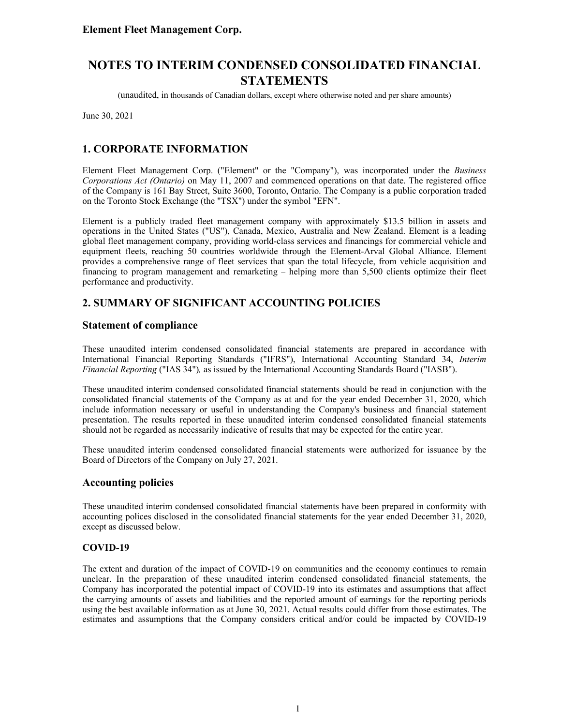(unaudited, in thousands of Canadian dollars, except where otherwise noted and per share amounts)

June 30, 2021

### **1. CORPORATE INFORMATION**

Element Fleet Management Corp. ("Element" or the "Company"), was incorporated under the *Business Corporations Act (Ontario)* on May 11, 2007 and commenced operations on that date. The registered office of the Company is 161 Bay Street, Suite 3600, Toronto, Ontario. The Company is a public corporation traded on the Toronto Stock Exchange (the "TSX") under the symbol "EFN".

Element is a publicly traded fleet management company with approximately \$13.5 billion in assets and operations in the United States ("US"), Canada, Mexico, Australia and New Zealand. Element is a leading global fleet management company, providing world-class services and financings for commercial vehicle and equipment fleets, reaching 50 countries worldwide through the Element-Arval Global Alliance. Element provides a comprehensive range of fleet services that span the total lifecycle, from vehicle acquisition and financing to program management and remarketing – helping more than 5,500 clients optimize their fleet performance and productivity.

### **2. SUMMARY OF SIGNIFICANT ACCOUNTING POLICIES**

### **Statement of compliance**

These unaudited interim condensed consolidated financial statements are prepared in accordance with International Financial Reporting Standards ("IFRS"), International Accounting Standard 34, *Interim Financial Reporting* ("IAS 34")*,* as issued by the International Accounting Standards Board ("IASB").

These unaudited interim condensed consolidated financial statements should be read in conjunction with the consolidated financial statements of the Company as at and for the year ended December 31, 2020, which include information necessary or useful in understanding the Company's business and financial statement presentation. The results reported in these unaudited interim condensed consolidated financial statements should not be regarded as necessarily indicative of results that may be expected for the entire year.

These unaudited interim condensed consolidated financial statements were authorized for issuance by the Board of Directors of the Company on July 27, 2021.

#### **Accounting policies**

These unaudited interim condensed consolidated financial statements have been prepared in conformity with accounting polices disclosed in the consolidated financial statements for the year ended December 31, 2020, except as discussed below.

#### **COVID-19**

The extent and duration of the impact of COVID-19 on communities and the economy continues to remain unclear. In the preparation of these unaudited interim condensed consolidated financial statements, the Company has incorporated the potential impact of COVID-19 into its estimates and assumptions that affect the carrying amounts of assets and liabilities and the reported amount of earnings for the reporting periods using the best available information as at June 30, 2021. Actual results could differ from those estimates. The estimates and assumptions that the Company considers critical and/or could be impacted by COVID-19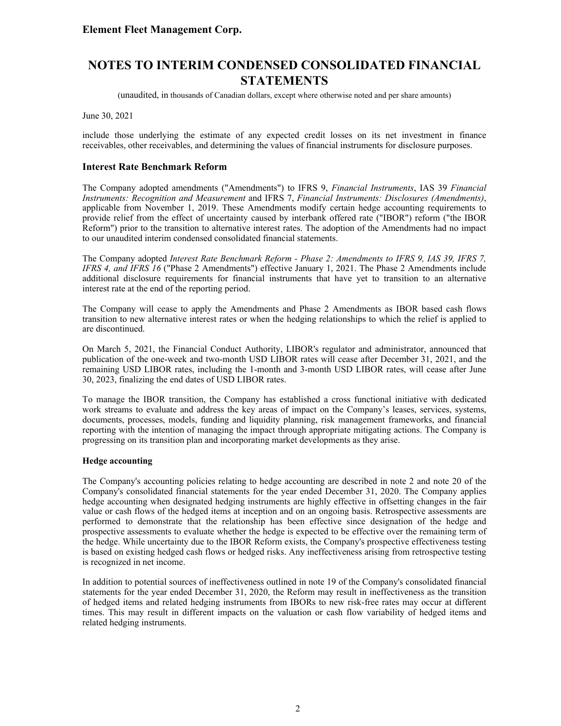(unaudited, in thousands of Canadian dollars, except where otherwise noted and per share amounts)

June 30, 2021

include those underlying the estimate of any expected credit losses on its net investment in finance receivables, other receivables, and determining the values of financial instruments for disclosure purposes.

#### **Interest Rate Benchmark Reform**

The Company adopted amendments ("Amendments") to IFRS 9, *Financial Instruments*, IAS 39 *Financial Instruments: Recognition and Measurement* and IFRS 7, *Financial Instruments: Disclosures (Amendments)*, applicable from November 1, 2019. These Amendments modify certain hedge accounting requirements to provide relief from the effect of uncertainty caused by interbank offered rate ("IBOR") reform ("the IBOR Reform") prior to the transition to alternative interest rates. The adoption of the Amendments had no impact to our unaudited interim condensed consolidated financial statements.

The Company adopted *Interest Rate Benchmark Reform - Phase 2: Amendments to IFRS 9, IAS 39, IFRS 7, IFRS 4, and IFRS 16* ("Phase 2 Amendments") effective January 1, 2021. The Phase 2 Amendments include additional disclosure requirements for financial instruments that have yet to transition to an alternative interest rate at the end of the reporting period.

The Company will cease to apply the Amendments and Phase 2 Amendments as IBOR based cash flows transition to new alternative interest rates or when the hedging relationships to which the relief is applied to are discontinued.

On March 5, 2021, the Financial Conduct Authority, LIBOR's regulator and administrator, announced that publication of the one-week and two-month USD LIBOR rates will cease after December 31, 2021, and the remaining USD LIBOR rates, including the 1-month and 3-month USD LIBOR rates, will cease after June 30, 2023, finalizing the end dates of USD LIBOR rates.

To manage the IBOR transition, the Company has established a cross functional initiative with dedicated work streams to evaluate and address the key areas of impact on the Company's leases, services, systems, documents, processes, models, funding and liquidity planning, risk management frameworks, and financial reporting with the intention of managing the impact through appropriate mitigating actions. The Company is progressing on its transition plan and incorporating market developments as they arise.

#### **Hedge accounting**

The Company's accounting policies relating to hedge accounting are described in note 2 and note 20 of the Company's consolidated financial statements for the year ended December 31, 2020. The Company applies hedge accounting when designated hedging instruments are highly effective in offsetting changes in the fair value or cash flows of the hedged items at inception and on an ongoing basis. Retrospective assessments are performed to demonstrate that the relationship has been effective since designation of the hedge and prospective assessments to evaluate whether the hedge is expected to be effective over the remaining term of the hedge. While uncertainty due to the IBOR Reform exists, the Company's prospective effectiveness testing is based on existing hedged cash flows or hedged risks. Any ineffectiveness arising from retrospective testing is recognized in net income.

In addition to potential sources of ineffectiveness outlined in note 19 of the Company's consolidated financial statements for the year ended December 31, 2020, the Reform may result in ineffectiveness as the transition of hedged items and related hedging instruments from IBORs to new risk-free rates may occur at different times. This may result in different impacts on the valuation or cash flow variability of hedged items and related hedging instruments.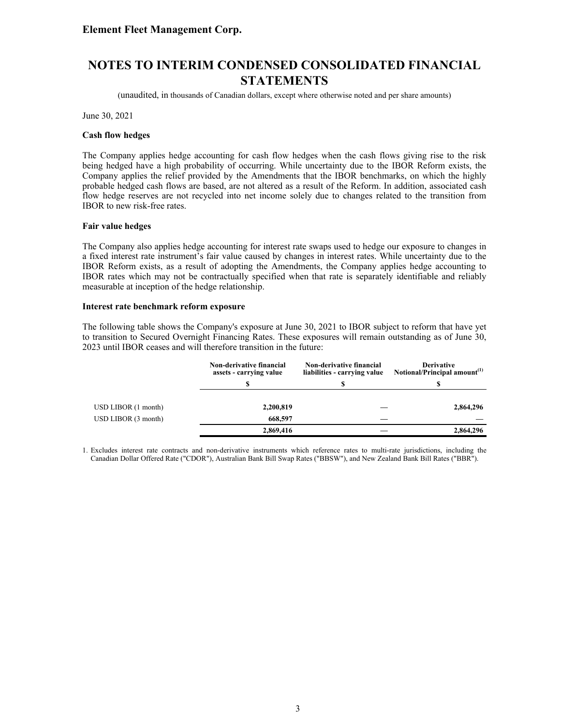# **NOTES TO INTERIM CONDENSED CONSOLIDATED FINANCIAL STATEMENTS**

(unaudited, in thousands of Canadian dollars, except where otherwise noted and per share amounts)

June 30, 2021

#### **Cash flow hedges**

The Company applies hedge accounting for cash flow hedges when the cash flows giving rise to the risk being hedged have a high probability of occurring. While uncertainty due to the IBOR Reform exists, the Company applies the relief provided by the Amendments that the IBOR benchmarks, on which the highly probable hedged cash flows are based, are not altered as a result of the Reform. In addition, associated cash flow hedge reserves are not recycled into net income solely due to changes related to the transition from IBOR to new risk-free rates.

#### **Fair value hedges**

The Company also applies hedge accounting for interest rate swaps used to hedge our exposure to changes in a fixed interest rate instrument's fair value caused by changes in interest rates. While uncertainty due to the IBOR Reform exists, as a result of adopting the Amendments, the Company applies hedge accounting to IBOR rates which may not be contractually specified when that rate is separately identifiable and reliably measurable at inception of the hedge relationship.

#### **Interest rate benchmark reform exposure**

The following table shows the Company's exposure at June 30, 2021 to IBOR subject to reform that have yet to transition to Secured Overnight Financing Rates. These exposures will remain outstanding as of June 30, 2023 until IBOR ceases and will therefore transition in the future:

|                    | Non-derivative financial<br>assets - carrying value | <b>Non-derivative financial</b><br>liabilities - carrying value | <b>Derivative</b><br>Notional/Principal amount <sup>(1)</sup> |
|--------------------|-----------------------------------------------------|-----------------------------------------------------------------|---------------------------------------------------------------|
|                    |                                                     |                                                                 |                                                               |
|                    |                                                     |                                                                 |                                                               |
| USD LIBOR(1 month) | 2,200,819                                           |                                                                 | 2,864,296                                                     |
| USD LIBOR(3 month) | 668,597                                             |                                                                 |                                                               |
|                    | 2,869,416                                           |                                                                 | 2.864,296                                                     |

1. Excludes interest rate contracts and non-derivative instruments which reference rates to multi-rate jurisdictions, including the Canadian Dollar Offered Rate ("CDOR"), Australian Bank Bill Swap Rates ("BBSW"), and New Zealand Bank Bill Rates ("BBR").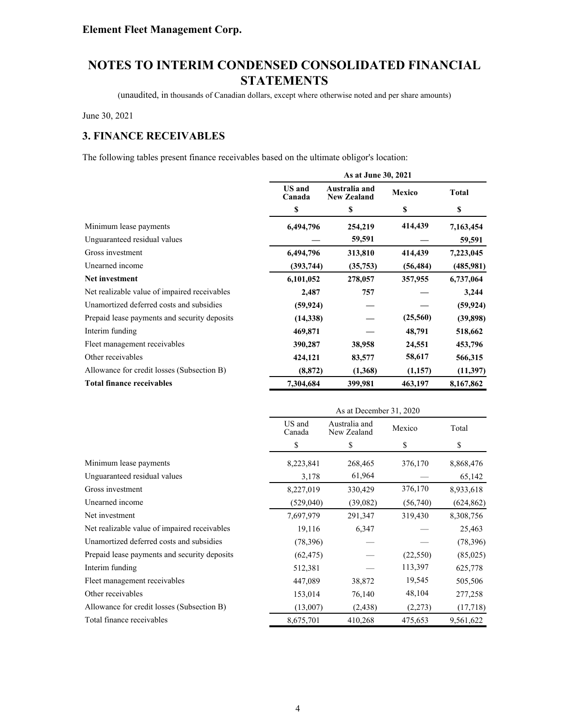(unaudited, in thousands of Canadian dollars, except where otherwise noted and per share amounts)

June 30, 2021

# **3. FINANCE RECEIVABLES**

The following tables present finance receivables based on the ultimate obligor's location:

|                                              | As at June 30, 2021     |                                     |               |              |
|----------------------------------------------|-------------------------|-------------------------------------|---------------|--------------|
|                                              | <b>US</b> and<br>Canada | Australia and<br><b>New Zealand</b> | <b>Mexico</b> | <b>Total</b> |
|                                              | \$                      | \$                                  | \$            | \$           |
| Minimum lease payments                       | 6,494,796               | 254,219                             | 414,439       | 7,163,454    |
| Unguaranteed residual values                 |                         | 59,591                              |               | 59,591       |
| Gross investment                             | 6,494,796               | 313,810                             | 414,439       | 7,223,045    |
| Unearned income                              | (393, 744)              | (35,753)                            | (56, 484)     | (485,981)    |
| Net investment                               | 6,101,052               | 278,057                             | 357,955       | 6,737,064    |
| Net realizable value of impaired receivables | 2,487                   | 757                                 |               | 3,244        |
| Unamortized deferred costs and subsidies     | (59, 924)               |                                     |               | (59, 924)    |
| Prepaid lease payments and security deposits | (14,338)                |                                     | (25,560)      | (39,898)     |
| Interim funding                              | 469,871                 |                                     | 48,791        | 518,662      |
| Fleet management receivables                 | 390,287                 | 38,958                              | 24,551        | 453,796      |
| Other receivables                            | 424,121                 | 83,577                              | 58,617        | 566,315      |
| Allowance for credit losses (Subsection B)   | (8, 872)                | (1,368)                             | (1,157)       | (11,397)     |
| <b>Total finance receivables</b>             | 7,304,684               | 399,981                             | 463,197       | 8,167,862    |

|                                              | As at December 31, 2020 |                              |           |            |
|----------------------------------------------|-------------------------|------------------------------|-----------|------------|
|                                              | US and<br>Canada        | Australia and<br>New Zealand | Mexico    | Total      |
|                                              | \$                      | \$                           | \$        | \$         |
| Minimum lease payments                       | 8,223,841               | 268,465                      | 376,170   | 8,868,476  |
| Unguaranteed residual values                 | 3,178                   | 61,964                       |           | 65,142     |
| Gross investment                             | 8,227,019               | 330,429                      | 376,170   | 8,933,618  |
| Unearned income                              | (529,040)               | (39,082)                     | (56,740)  | (624, 862) |
| Net investment                               | 7,697,979               | 291,347                      | 319,430   | 8,308,756  |
| Net realizable value of impaired receivables | 19,116                  | 6,347                        |           | 25,463     |
| Unamortized deferred costs and subsidies     | (78, 396)               |                              |           | (78, 396)  |
| Prepaid lease payments and security deposits | (62, 475)               |                              | (22, 550) | (85,025)   |
| Interim funding                              | 512,381                 |                              | 113,397   | 625,778    |
| Fleet management receivables                 | 447,089                 | 38,872                       | 19,545    | 505,506    |
| Other receivables                            | 153,014                 | 76,140                       | 48,104    | 277,258    |
| Allowance for credit losses (Subsection B)   | (13,007)                | (2, 438)                     | (2,273)   | (17,718)   |
| Total finance receivables                    | 8,675,701               | 410,268                      | 475,653   | 9,561,622  |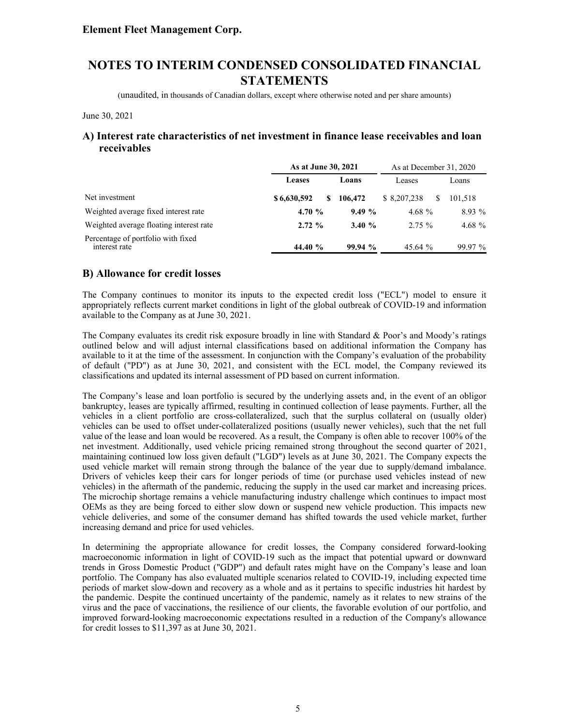(unaudited, in thousands of Canadian dollars, except where otherwise noted and per share amounts)

June 30, 2021

#### **A) Interest rate characteristics of net investment in finance lease receivables and loan receivables**

|                                                     | As at June 30, 2021 |         | As at December 31, 2020 |           |
|-----------------------------------------------------|---------------------|---------|-------------------------|-----------|
|                                                     | Leases              | Loans   | Leases                  | Loans     |
| Net investment                                      | \$6,630,592<br>S    | 106,472 | \$ 8,207,238            | 101.518   |
| Weighted average fixed interest rate                | 4.70 $%$            | 9.49%   | 4.68 $%$                | $8.93\%$  |
| Weighted average floating interest rate             | 2.72%               | 3.40%   | $2.75 \%$               | 4.68 $%$  |
| Percentage of portfolio with fixed<br>interest rate | 44.40 %             | 99.94%  | 45.64 %                 | $99.97\%$ |

#### **B) Allowance for credit losses**

The Company continues to monitor its inputs to the expected credit loss ("ECL") model to ensure it appropriately reflects current market conditions in light of the global outbreak of COVID-19 and information available to the Company as at June 30, 2021.

The Company evaluates its credit risk exposure broadly in line with Standard & Poor's and Moody's ratings outlined below and will adjust internal classifications based on additional information the Company has available to it at the time of the assessment. In conjunction with the Company's evaluation of the probability of default ("PD") as at June 30, 2021, and consistent with the ECL model, the Company reviewed its classifications and updated its internal assessment of PD based on current information.

The Company's lease and loan portfolio is secured by the underlying assets and, in the event of an obligor bankruptcy, leases are typically affirmed, resulting in continued collection of lease payments. Further, all the vehicles in a client portfolio are cross-collateralized, such that the surplus collateral on (usually older) vehicles can be used to offset under-collateralized positions (usually newer vehicles), such that the net full value of the lease and loan would be recovered. As a result, the Company is often able to recover 100% of the net investment. Additionally, used vehicle pricing remained strong throughout the second quarter of 2021, maintaining continued low loss given default ("LGD") levels as at June 30, 2021. The Company expects the used vehicle market will remain strong through the balance of the year due to supply/demand imbalance. Drivers of vehicles keep their cars for longer periods of time (or purchase used vehicles instead of new vehicles) in the aftermath of the pandemic, reducing the supply in the used car market and increasing prices. The microchip shortage remains a vehicle manufacturing industry challenge which continues to impact most OEMs as they are being forced to either slow down or suspend new vehicle production. This impacts new vehicle deliveries, and some of the consumer demand has shifted towards the used vehicle market, further increasing demand and price for used vehicles.

In determining the appropriate allowance for credit losses, the Company considered forward-looking macroeconomic information in light of COVID-19 such as the impact that potential upward or downward trends in Gross Domestic Product ("GDP") and default rates might have on the Company's lease and loan portfolio. The Company has also evaluated multiple scenarios related to COVID-19, including expected time periods of market slow-down and recovery as a whole and as it pertains to specific industries hit hardest by the pandemic. Despite the continued uncertainty of the pandemic, namely as it relates to new strains of the virus and the pace of vaccinations, the resilience of our clients, the favorable evolution of our portfolio, and improved forward-looking macroeconomic expectations resulted in a reduction of the Company's allowance for credit losses to \$11,397 as at June 30, 2021.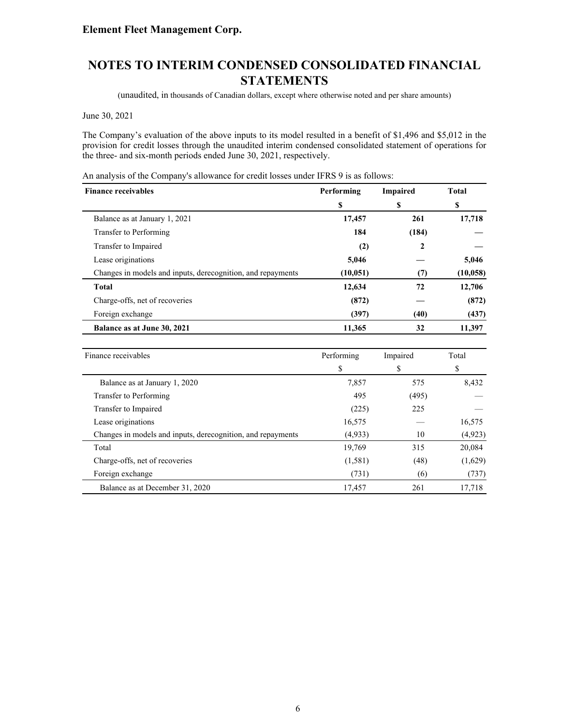(unaudited, in thousands of Canadian dollars, except where otherwise noted and per share amounts)

June 30, 2021

The Company's evaluation of the above inputs to its model resulted in a benefit of \$1,496 and \$5,012 in the provision for credit losses through the unaudited interim condensed consolidated statement of operations for the three- and six-month periods ended June 30, 2021, respectively.

An analysis of the Company's allowance for credit losses under IFRS 9 is as follows:

| <b>Finance receivables</b>                                  | Performing | <b>Impaired</b> | <b>Total</b> |
|-------------------------------------------------------------|------------|-----------------|--------------|
|                                                             | \$         | \$              | S            |
| Balance as at January 1, 2021                               | 17,457     | 261             | 17,718       |
| Transfer to Performing                                      | 184        | (184)           |              |
| Transfer to Impaired                                        | (2)        | 2               |              |
| Lease originations                                          | 5,046      |                 | 5,046        |
| Changes in models and inputs, derecognition, and repayments | (10, 051)  | (7)             | (10, 058)    |
| <b>Total</b>                                                | 12,634     | 72              | 12,706       |
| Charge-offs, net of recoveries                              | (872)      |                 | (872)        |
| Foreign exchange                                            | (397)      | (40)            | (437)        |
| Balance as at June 30, 2021                                 | 11,365     | 32              | 11,397       |

| Finance receivables                                         | Performing | Impaired | Total    |
|-------------------------------------------------------------|------------|----------|----------|
|                                                             | \$         | \$       | \$       |
| Balance as at January 1, 2020                               | 7,857      | 575      | 8,432    |
| Transfer to Performing                                      | 495        | (495)    |          |
| Transfer to Impaired                                        | (225)      | 225      |          |
| Lease originations                                          | 16,575     |          | 16,575   |
| Changes in models and inputs, derecognition, and repayments | (4,933)    | 10       | (4, 923) |
| Total                                                       | 19,769     | 315      | 20,084   |
| Charge-offs, net of recoveries                              | (1,581)    | (48)     | (1,629)  |
| Foreign exchange                                            | (731)      | (6)      | (737)    |
| Balance as at December 31, 2020                             | 17.457     | 261      | 17,718   |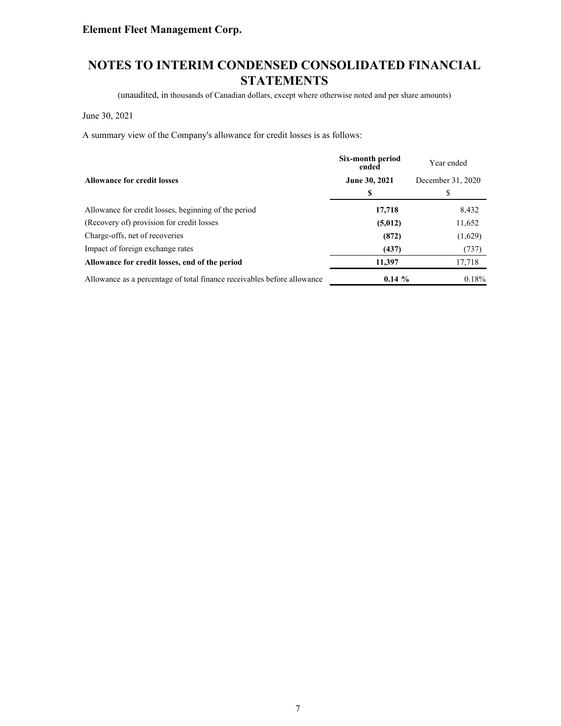# **NOTES TO INTERIM CONDENSED CONSOLIDATED FINANCIAL STATEMENTS**

(unaudited, in thousands of Canadian dollars, except where otherwise noted and per share amounts)

June 30, 2021

A summary view of the Company's allowance for credit losses is as follows:

|                                                                         | Six-month period<br>ended | Year ended        |
|-------------------------------------------------------------------------|---------------------------|-------------------|
| <b>Allowance for credit losses</b>                                      | June 30, 2021             | December 31, 2020 |
|                                                                         | S                         | \$                |
| Allowance for credit losses, beginning of the period                    | 17,718                    | 8,432             |
| (Recovery of) provision for credit losses                               | (5,012)                   | 11,652            |
| Charge-offs, net of recoveries                                          | (872)                     | (1,629)           |
| Impact of foreign exchange rates                                        | (437)                     | (737)             |
| Allowance for credit losses, end of the period                          | 11,397                    | 17,718            |
| Allowance as a percentage of total finance receivables before allowance | $0.14 \%$                 | 0.18%             |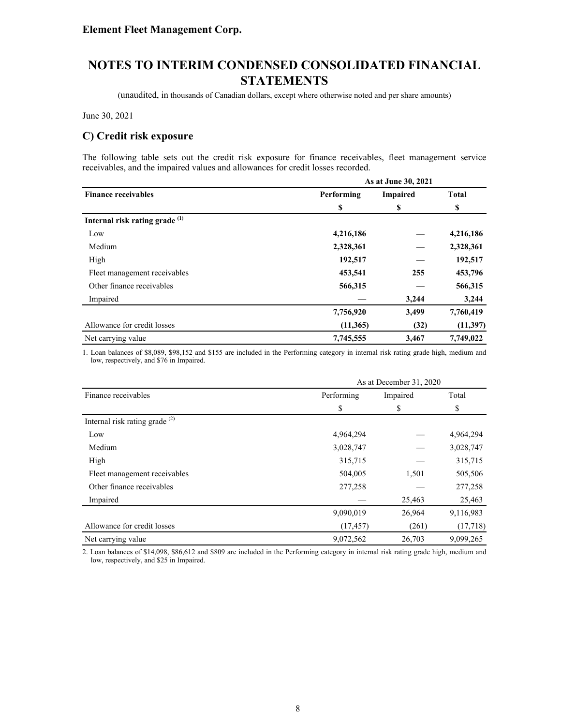(unaudited, in thousands of Canadian dollars, except where otherwise noted and per share amounts)

June 30, 2021

### **C) Credit risk exposure**

The following table sets out the credit risk exposure for finance receivables, fleet management service receivables, and the impaired values and allowances for credit losses recorded.

|                                           | As at June 30, 2021 |          |              |  |  |
|-------------------------------------------|---------------------|----------|--------------|--|--|
| <b>Finance receivables</b>                | Performing          | Impaired | <b>Total</b> |  |  |
|                                           | S                   | \$       | \$           |  |  |
| Internal risk rating grade <sup>(1)</sup> |                     |          |              |  |  |
| Low                                       | 4,216,186           |          | 4,216,186    |  |  |
| Medium                                    | 2,328,361           |          | 2,328,361    |  |  |
| High                                      | 192,517             |          | 192,517      |  |  |
| Fleet management receivables              | 453,541             | 255      | 453,796      |  |  |
| Other finance receivables                 | 566,315             |          | 566,315      |  |  |
| Impaired                                  |                     | 3,244    | 3,244        |  |  |
|                                           | 7,756,920           | 3,499    | 7,760,419    |  |  |
| Allowance for credit losses               | (11,365)            | (32)     | (11, 397)    |  |  |
| Net carrying value                        | 7,745,555           | 3,467    | 7,749,022    |  |  |

1. Loan balances of \$8,089, \$98,152 and \$155 are included in the Performing category in internal risk rating grade high, medium and low, respectively, and \$76 in Impaired.

|                                           | As at December 31, 2020 |          |           |  |  |
|-------------------------------------------|-------------------------|----------|-----------|--|--|
| Finance receivables                       | Performing              | Impaired | Total     |  |  |
|                                           | \$                      | \$       | S         |  |  |
| Internal risk rating grade <sup>(2)</sup> |                         |          |           |  |  |
| Low                                       | 4,964,294               |          | 4,964,294 |  |  |
| Medium                                    | 3,028,747               |          | 3,028,747 |  |  |
| High                                      | 315,715                 |          | 315,715   |  |  |
| Fleet management receivables              | 504,005                 | 1,501    | 505,506   |  |  |
| Other finance receivables                 | 277,258                 |          | 277,258   |  |  |
| Impaired                                  |                         | 25,463   | 25,463    |  |  |
|                                           | 9,090,019               | 26,964   | 9,116,983 |  |  |
| Allowance for credit losses               | (17, 457)               | (261)    | (17,718)  |  |  |
| Net carrying value                        | 9,072,562               | 26,703   | 9,099,265 |  |  |

2. Loan balances of \$14,098, \$86,612 and \$809 are included in the Performing category in internal risk rating grade high, medium and low, respectively, and \$25 in Impaired.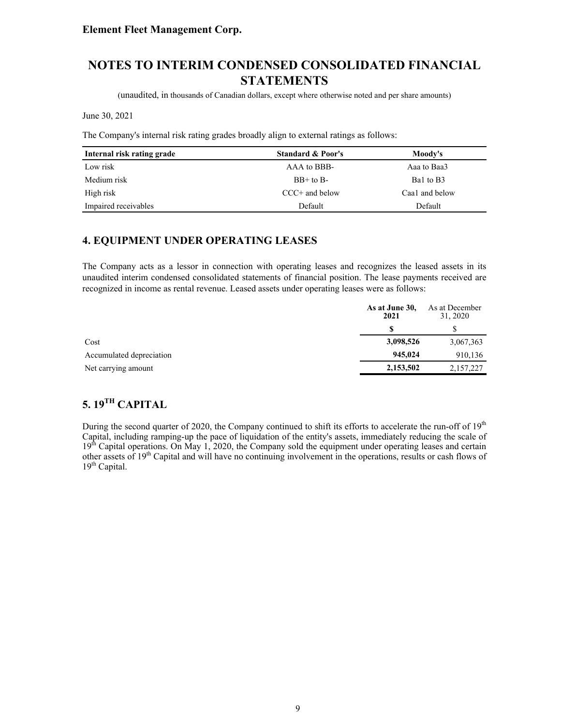# **NOTES TO INTERIM CONDENSED CONSOLIDATED FINANCIAL STATEMENTS**

(unaudited, in thousands of Canadian dollars, except where otherwise noted and per share amounts)

June 30, 2021

The Company's internal risk rating grades broadly align to external ratings as follows:

| Internal risk rating grade | <b>Standard &amp; Poor's</b> | Moody's        |
|----------------------------|------------------------------|----------------|
| Low risk                   | AAA to BBB-                  | Aaa to Baa3    |
| Medium risk                | $BB+$ to $B-$                | Bal to B3      |
| High risk                  | $CCC+$ and below             | Caa1 and below |
| Impaired receivables       | Default                      | Default        |

### **4. EQUIPMENT UNDER OPERATING LEASES**

The Company acts as a lessor in connection with operating leases and recognizes the leased assets in its unaudited interim condensed consolidated statements of financial position. The lease payments received are recognized in income as rental revenue. Leased assets under operating leases were as follows:

|                          | As at June 30,<br>2021 | As at December<br>31, 2020 |
|--------------------------|------------------------|----------------------------|
|                          |                        |                            |
| Cost                     | 3,098,526              | 3,067,363                  |
| Accumulated depreciation | 945,024                | 910,136                    |
| Net carrying amount      | 2,153,502              | 2,157,227                  |

# **5. 19TH CAPITAL**

During the second quarter of 2020, the Company continued to shift its efforts to accelerate the run-off of 19<sup>th</sup> Capital, including ramping-up the pace of liquidation of the entity's assets, immediately reducing the scale of 19<sup>th</sup> Capital operations. On May 1, 2020, the Company sold the equipment under operating leases and certain other assets of 19<sup>th</sup> Capital and will have no continuing involvement in the operations, results or cash flows of  $19<sup>th</sup>$  Capital.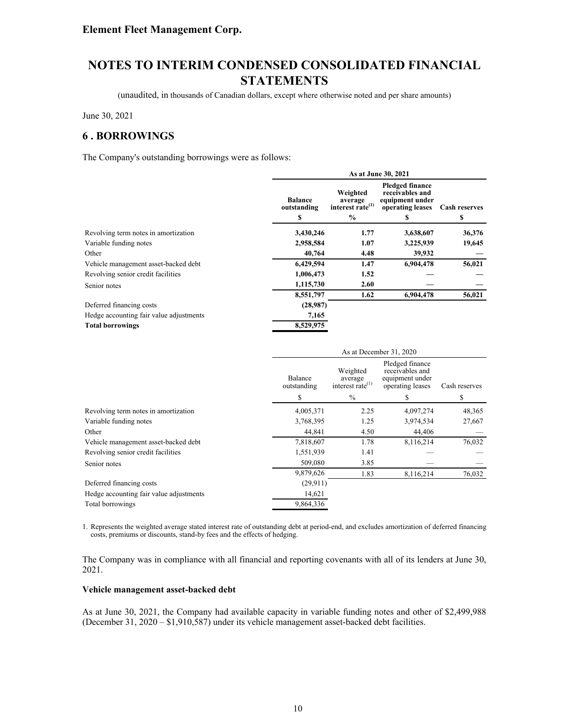(unaudited, in thousands of Canadian dollars, except where otherwise noted and per share amounts)

June 30, 2021

### **6 . BORROWINGS**

The Company's outstanding borrowings were as follows:

|                                         |                                     |                                                                      | As at June 30, 2021                                                                   |                            |
|-----------------------------------------|-------------------------------------|----------------------------------------------------------------------|---------------------------------------------------------------------------------------|----------------------------|
|                                         | <b>Balance</b><br>outstanding<br>\$ | Weighted<br>average<br>interest rate <sup>(1)</sup><br>$\frac{6}{6}$ | <b>Pledged finance</b><br>receivables and<br>equipment under<br>operating leases<br>S | <b>Cash reserves</b><br>\$ |
| Revolving term notes in amortization    | 3,430,246                           | 1.77                                                                 | 3,638,607                                                                             | 36,376                     |
| Variable funding notes                  | 2,958,584                           | 1.07                                                                 | 3,225,939                                                                             | 19,645                     |
| Other                                   | 40,764                              | 4.48                                                                 | 39,932                                                                                |                            |
| Vehicle management asset-backed debt    | 6,429,594                           | 1.47                                                                 | 6,904,478                                                                             | 56,021                     |
| Revolving senior credit facilities      | 1,006,473                           | 1.52                                                                 |                                                                                       |                            |
| Senior notes                            | 1,115,730                           | 2.60                                                                 |                                                                                       |                            |
|                                         | 8,551,797                           | 1.62                                                                 | 6,904,478                                                                             | 56,021                     |
| Deferred financing costs                | (28,987)                            |                                                                      |                                                                                       |                            |
| Hedge accounting fair value adjustments | 7,165                               |                                                                      |                                                                                       |                            |
| <b>Total borrowings</b>                 | 8,529,975                           |                                                                      |                                                                                       |                            |
|                                         |                                     |                                                                      |                                                                                       |                            |

|                                         | As at December 31, 2020 |                                                     |                                                                           |               |
|-----------------------------------------|-------------------------|-----------------------------------------------------|---------------------------------------------------------------------------|---------------|
|                                         | Balance<br>outstanding  | Weighted<br>average<br>interest rate <sup>(1)</sup> | Pledged finance<br>receivables and<br>equipment under<br>operating leases | Cash reserves |
|                                         | S                       | $\%$                                                | S                                                                         | \$            |
| Revolving term notes in amortization    | 4,005,371               | 2.25                                                | 4,097,274                                                                 | 48,365        |
| Variable funding notes                  | 3,768,395               | 1.25                                                | 3,974,534                                                                 | 27,667        |
| Other                                   | 44,841                  | 4.50                                                | 44,406                                                                    |               |
| Vehicle management asset-backed debt    | 7,818,607               | 1.78                                                | 8,116,214                                                                 | 76,032        |
| Revolving senior credit facilities      | 1,551,939               | 1.41                                                |                                                                           |               |
| Senior notes                            | 509,080                 | 3.85                                                |                                                                           |               |
|                                         | 9,879,626               | 1.83                                                | 8,116,214                                                                 | 76,032        |
| Deferred financing costs                | (29, 911)               |                                                     |                                                                           |               |
| Hedge accounting fair value adjustments | 14,621                  |                                                     |                                                                           |               |
| Total borrowings                        | 9,864,336               |                                                     |                                                                           |               |

1. Represents the weighted average stated interest rate of outstanding debt at period-end, and excludes amortization of deferred financing costs, premiums or discounts, stand-by fees and the effects of hedging.

The Company was in compliance with all financial and reporting covenants with all of its lenders at June 30, 2021.

#### **Vehicle management asset-backed debt**

As at June 30, 2021, the Company had available capacity in variable funding notes and other of \$2,499,988 (December 31, 2020 – \$1,910,587) under its vehicle management asset-backed debt facilities.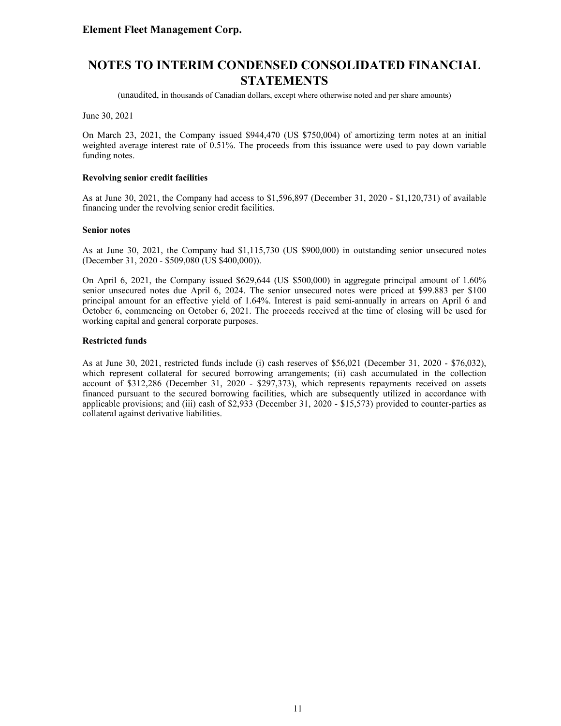(unaudited, in thousands of Canadian dollars, except where otherwise noted and per share amounts)

June 30, 2021

On March 23, 2021, the Company issued \$944,470 (US \$750,004) of amortizing term notes at an initial weighted average interest rate of 0.51%. The proceeds from this issuance were used to pay down variable funding notes.

#### **Revolving senior credit facilities**

As at June 30, 2021, the Company had access to \$1,596,897 (December 31, 2020 - \$1,120,731) of available financing under the revolving senior credit facilities.

#### **Senior notes**

As at June 30, 2021, the Company had \$1,115,730 (US \$900,000) in outstanding senior unsecured notes (December 31, 2020 - \$509,080 (US \$400,000)).

On April 6, 2021, the Company issued \$629,644 (US \$500,000) in aggregate principal amount of 1.60% senior unsecured notes due April 6, 2024. The senior unsecured notes were priced at \$99.883 per \$100 principal amount for an effective yield of 1.64%. Interest is paid semi-annually in arrears on April 6 and October 6, commencing on October 6, 2021. The proceeds received at the time of closing will be used for working capital and general corporate purposes.

#### **Restricted funds**

As at June 30, 2021, restricted funds include (i) cash reserves of \$56,021 (December 31, 2020 - \$76,032), which represent collateral for secured borrowing arrangements; (ii) cash accumulated in the collection account of \$312,286 (December 31, 2020 - \$297,373), which represents repayments received on assets financed pursuant to the secured borrowing facilities, which are subsequently utilized in accordance with applicable provisions; and (iii) cash of \$2,933 (December 31, 2020 - \$15,573) provided to counter-parties as collateral against derivative liabilities.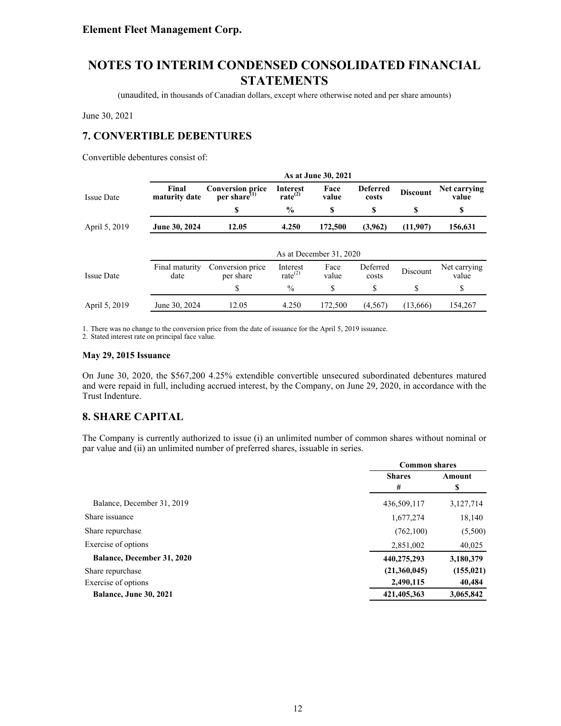(unaudited, in thousands of Canadian dollars, except where otherwise noted and per share amounts)

June 30, 2021

### **7. CONVERTIBLE DEBENTURES**

Convertible debentures consist of:

|                   |                        |                                               |                                 | As at June 30, 2021     |                          |                 |                       |
|-------------------|------------------------|-----------------------------------------------|---------------------------------|-------------------------|--------------------------|-----------------|-----------------------|
| <b>Issue Date</b> | Final<br>maturity date | <b>Conversion price</b><br>per share $^{(1)}$ | Interest<br>rate <sup>(2)</sup> | Face<br>value           | <b>Deferred</b><br>costs | <b>Discount</b> | Net carrying<br>value |
|                   |                        | S                                             | $\frac{0}{0}$                   | \$                      | S                        | S               | S                     |
| April 5, 2019     | June 30, 2024          | 12.05                                         | 4.250                           | 172,500                 | (3,962)                  | (11,907)        | 156,631               |
|                   |                        |                                               |                                 |                         |                          |                 |                       |
|                   |                        |                                               |                                 | As at December 31, 2020 |                          |                 |                       |
| <b>Issue Date</b> | Final maturity<br>date | Conversion price<br>per share                 | Interest<br>rate $^{(2)}$       | Face<br>value           | Deferred<br>costs        | Discount        | Net carrying<br>value |
|                   |                        | \$                                            | $\%$                            | \$                      | \$                       | \$              | \$                    |
| April 5, 2019     | June 30, 2024          | 12.05                                         | 4.250                           | 172,500                 | (4, 567)                 | (13,666)        | 154.267               |

1. There was no change to the conversion price from the date of issuance for the April 5, 2019 issuance.

2. Stated interest rate on principal face value.

#### **May 29, 2015 Issuance**

On June 30, 2020, the \$567,200 4.25% extendible convertible unsecured subordinated debentures matured and were repaid in full, including accrued interest, by the Company, on June 29, 2020, in accordance with the Trust Indenture.

### **8. SHARE CAPITAL**

The Company is currently authorized to issue (i) an unlimited number of common shares without nominal or par value and (ii) an unlimited number of preferred shares, issuable in series.

|                                   | <b>Common shares</b> |             |  |
|-----------------------------------|----------------------|-------------|--|
|                                   | <b>Shares</b><br>#   | Amount<br>S |  |
| Balance, December 31, 2019        | 436,509,117          | 3,127,714   |  |
| Share issuance                    | 1,677,274            | 18,140      |  |
| Share repurchase                  | (762, 100)           | (5,500)     |  |
| Exercise of options               | 2,851,002            | 40,025      |  |
| <b>Balance, December 31, 2020</b> | 440,275,293          | 3,180,379   |  |
| Share repurchase                  | (21,360,045)         | (155, 021)  |  |
| Exercise of options               | 2,490,115            | 40,484      |  |
| <b>Balance, June 30, 2021</b>     | 421,405,363          | 3,065,842   |  |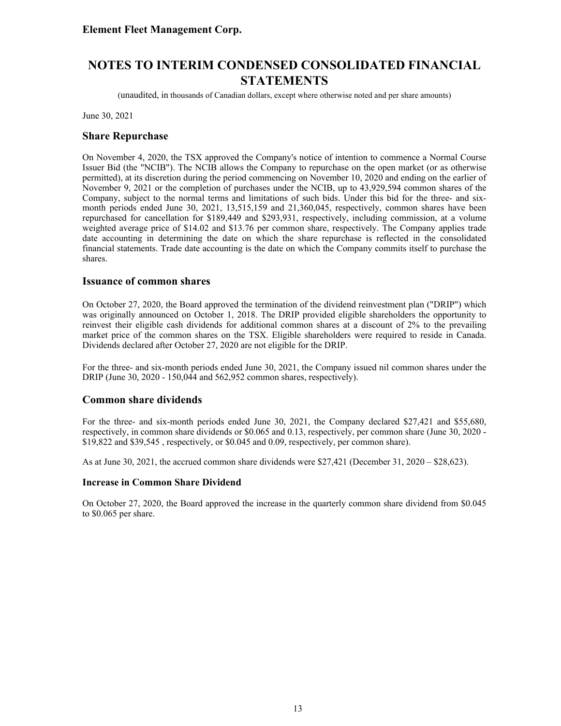(unaudited, in thousands of Canadian dollars, except where otherwise noted and per share amounts)

June 30, 2021

#### **Share Repurchase**

On November 4, 2020, the TSX approved the Company's notice of intention to commence a Normal Course Issuer Bid (the "NCIB"). The NCIB allows the Company to repurchase on the open market (or as otherwise permitted), at its discretion during the period commencing on November 10, 2020 and ending on the earlier of November 9, 2021 or the completion of purchases under the NCIB, up to 43,929,594 common shares of the Company, subject to the normal terms and limitations of such bids. Under this bid for the three- and sixmonth periods ended June 30, 2021, 13,515,159 and 21,360,045, respectively, common shares have been repurchased for cancellation for \$189,449 and \$293,931, respectively, including commission, at a volume weighted average price of \$14.02 and \$13.76 per common share, respectively. The Company applies trade date accounting in determining the date on which the share repurchase is reflected in the consolidated financial statements. Trade date accounting is the date on which the Company commits itself to purchase the shares.

#### **Issuance of common shares**

On October 27, 2020, the Board approved the termination of the dividend reinvestment plan ("DRIP") which was originally announced on October 1, 2018. The DRIP provided eligible shareholders the opportunity to reinvest their eligible cash dividends for additional common shares at a discount of 2% to the prevailing market price of the common shares on the TSX. Eligible shareholders were required to reside in Canada. Dividends declared after October 27, 2020 are not eligible for the DRIP.

For the three- and six-month periods ended June 30, 2021, the Company issued nil common shares under the DRIP (June 30, 2020 - 150,044 and 562,952 common shares, respectively).

#### **Common share dividends**

For the three- and six-month periods ended June 30, 2021, the Company declared \$27,421 and \$55,680, respectively, in common share dividends or \$0.065 and 0.13, respectively, per common share (June 30, 2020 - \$19,822 and \$39,545 , respectively, or \$0.045 and 0.09, respectively, per common share).

As at June 30, 2021, the accrued common share dividends were  $$27,421$  (December 31, 2020 –  $$28,623$ ).

#### **Increase in Common Share Dividend**

On October 27, 2020, the Board approved the increase in the quarterly common share dividend from \$0.045 to \$0.065 per share.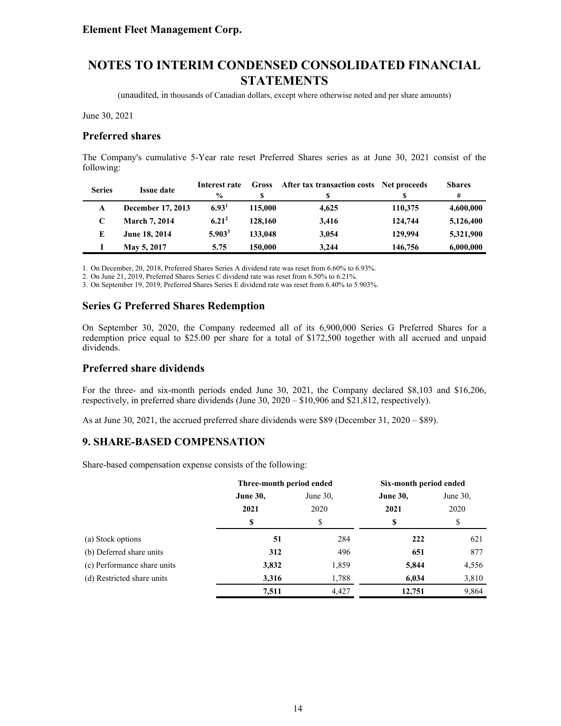(unaudited, in thousands of Canadian dollars, except where otherwise noted and per share amounts)

June 30, 2021

#### **Preferred shares**

The Company's cumulative 5-Year rate reset Preferred Shares series as at June 30, 2021 consist of the following:

| <b>Series</b> | <b>Issue date</b>    | Interest rate     | Gross   | After tax transaction costs Net proceeds |         | <b>Shares</b> |
|---------------|----------------------|-------------------|---------|------------------------------------------|---------|---------------|
|               |                      | $\frac{0}{0}$     |         | S                                        |         | #             |
| A             | December 17, 2013    | 6.93 <sup>1</sup> | 115,000 | 4.625                                    | 110,375 | 4,600,000     |
|               | <b>March 7, 2014</b> | $6.21^{2}$        | 128,160 | 3.416                                    | 124,744 | 5,126,400     |
| E             | June 18, 2014        | $5.903^3$         | 133,048 | 3,054                                    | 129,994 | 5,321,900     |
|               | May 5, 2017          | 5.75              | 150,000 | 3.244                                    | 146,756 | 6,000,000     |

1. On December, 20, 2018, Preferred Shares Series A dividend rate was reset from 6.60% to 6.93%.

2. On June 21, 2019, Preferred Shares Series C dividend rate was reset from 6.50% to 6.21%.

3. On September 19, 2019, Preferred Shares Series E dividend rate was reset from 6.40% to 5.903%.

#### **Series G Preferred Shares Redemption**

On September 30, 2020, the Company redeemed all of its 6,900,000 Series G Preferred Shares for a redemption price equal to \$25.00 per share for a total of \$172,500 together with all accrued and unpaid dividends.

### **Preferred share dividends**

For the three- and six-month periods ended June 30, 2021, the Company declared \$8,103 and \$16,206, respectively, in preferred share dividends (June 30, 2020 – \$10,906 and \$21,812, respectively).

As at June 30, 2021, the accrued preferred share dividends were \$89 (December 31, 2020 – \$89).

#### **9. SHARE-BASED COMPENSATION**

Share-based compensation expense consists of the following:

|                             | Three-month period ended |             | Six-month period ended |             |  |
|-----------------------------|--------------------------|-------------|------------------------|-------------|--|
|                             | <b>June 30,</b>          | June $30$ , |                        | June $30$ , |  |
|                             | 2021                     | 2020        | 2021                   | 2020        |  |
|                             | \$                       | S           | \$                     | \$          |  |
| (a) Stock options           | 51                       | 284         | 222                    | 621         |  |
| (b) Deferred share units    | 312                      | 496         | 651                    | 877         |  |
| (c) Performance share units | 3,832                    | 1,859       | 5,844                  | 4,556       |  |
| (d) Restricted share units  | 3,316                    | 1,788       | 6,034                  | 3,810       |  |
|                             | 7,511                    | 4,427       | 12,751                 | 9,864       |  |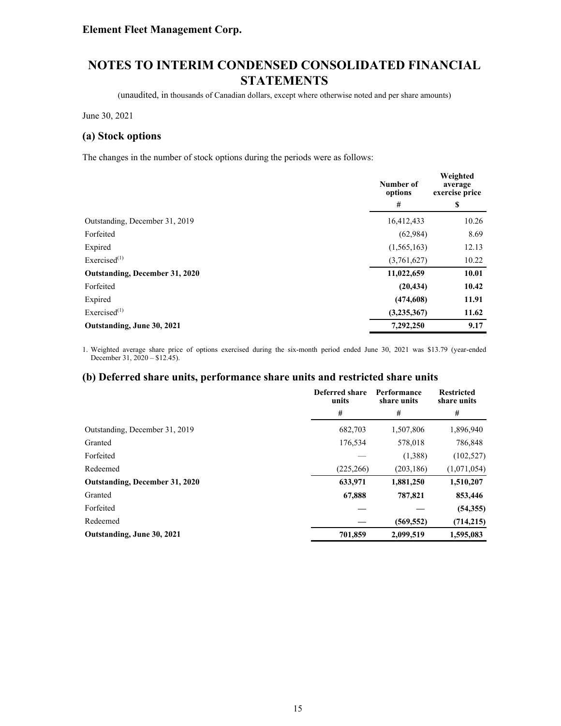(unaudited, in thousands of Canadian dollars, except where otherwise noted and per share amounts)

June 30, 2021

#### **(a) Stock options**

The changes in the number of stock options during the periods were as follows:

|                                | Number of<br>options | Weighted<br>average<br>exercise price |  |
|--------------------------------|----------------------|---------------------------------------|--|
|                                | #                    | S                                     |  |
| Outstanding, December 31, 2019 | 16,412,433           | 10.26                                 |  |
| Forfeited                      | (62,984)             | 8.69                                  |  |
| Expired                        | (1, 565, 163)        | 12.13                                 |  |
| Exercised $^{(1)}$             | (3,761,627)          | 10.22                                 |  |
| Outstanding, December 31, 2020 | 11,022,659           | 10.01                                 |  |
| Forfeited                      | (20, 434)            | 10.42                                 |  |
| Expired                        | (474, 608)           | 11.91                                 |  |
| Exercised $^{(1)}$             | (3, 235, 367)        | 11.62                                 |  |
| Outstanding, June 30, 2021     | 7,292,250            | 9.17                                  |  |

1. Weighted average share price of options exercised during the six-month period ended June 30, 2021 was \$13.79 (year-ended December 31,  $2020 - $12.45$ ).

#### **(b) Deferred share units, performance share units and restricted share units**

|                                | Deferred share<br>units | Performance<br>share units | <b>Restricted</b><br>share units |
|--------------------------------|-------------------------|----------------------------|----------------------------------|
|                                | #                       | #                          | #                                |
| Outstanding, December 31, 2019 | 682,703                 | 1,507,806                  | 1,896,940                        |
| Granted                        | 176,534                 | 578,018                    | 786,848                          |
| Forfeited                      |                         | (1,388)                    | (102, 527)                       |
| Redeemed                       | (225, 266)              | (203, 186)                 | (1,071,054)                      |
| Outstanding, December 31, 2020 | 633,971                 | 1,881,250                  | 1,510,207                        |
| Granted                        | 67,888                  | 787,821                    | 853,446                          |
| Forfeited                      |                         |                            | (54, 355)                        |
| Redeemed                       |                         | (569, 552)                 | (714, 215)                       |
| Outstanding, June 30, 2021     | 701,859                 | 2,099,519                  | 1.595.083                        |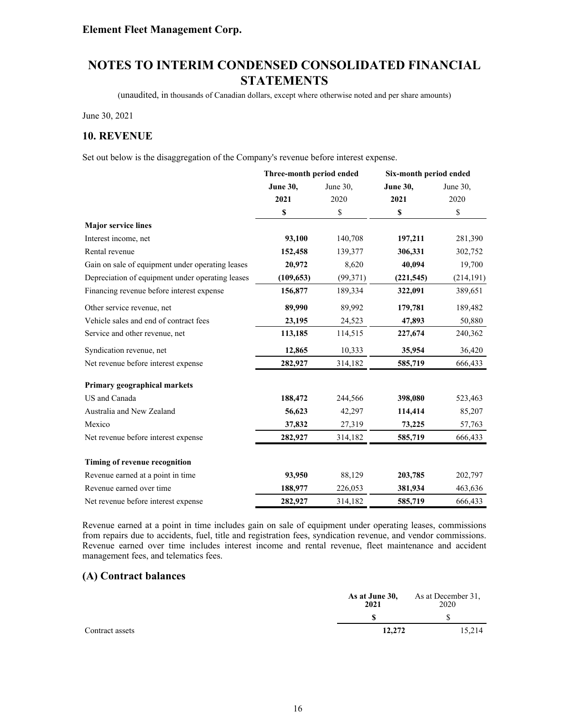(unaudited, in thousands of Canadian dollars, except where otherwise noted and per share amounts)

June 30, 2021

### **10. REVENUE**

Set out below is the disaggregation of the Company's revenue before interest expense.

|                                                  | Three-month period ended |           | Six-month period ended |             |
|--------------------------------------------------|--------------------------|-----------|------------------------|-------------|
|                                                  | <b>June 30,</b>          | June 30,  | <b>June 30,</b>        | June 30,    |
|                                                  | 2021                     | 2020      | 2021                   | 2020        |
|                                                  | \$                       | \$        | \$                     | $\mathbb S$ |
| <b>Major service lines</b>                       |                          |           |                        |             |
| Interest income, net                             | 93,100                   | 140,708   | 197,211                | 281,390     |
| Rental revenue                                   | 152,458                  | 139,377   | 306,331                | 302,752     |
| Gain on sale of equipment under operating leases | 20,972                   | 8,620     | 40,094                 | 19,700      |
| Depreciation of equipment under operating leases | (109, 653)               | (99, 371) | (221, 545)             | (214, 191)  |
| Financing revenue before interest expense        | 156,877                  | 189,334   | 322,091                | 389,651     |
| Other service revenue, net                       | 89,990                   | 89,992    | 179,781                | 189,482     |
| Vehicle sales and end of contract fees           | 23,195                   | 24,523    | 47,893                 | 50,880      |
| Service and other revenue, net                   | 113,185                  | 114,515   | 227,674                | 240,362     |
| Syndication revenue, net                         | 12,865                   | 10,333    | 35,954                 | 36,420      |
| Net revenue before interest expense              | 282,927                  | 314,182   | 585,719                | 666,433     |
| Primary geographical markets                     |                          |           |                        |             |
| US and Canada                                    | 188,472                  | 244,566   | 398,080                | 523,463     |
| Australia and New Zealand                        | 56,623                   | 42,297    | 114,414                | 85,207      |
| Mexico                                           | 37,832                   | 27,319    | 73,225                 | 57,763      |
| Net revenue before interest expense              | 282,927                  | 314,182   | 585,719                | 666,433     |
| Timing of revenue recognition                    |                          |           |                        |             |
| Revenue earned at a point in time                | 93,950                   | 88,129    | 203,785                | 202,797     |
| Revenue earned over time                         | 188,977                  | 226,053   | 381,934                | 463,636     |
| Net revenue before interest expense              | 282,927                  | 314,182   | 585,719                | 666,433     |

Revenue earned at a point in time includes gain on sale of equipment under operating leases, commissions from repairs due to accidents, fuel, title and registration fees, syndication revenue, and vendor commissions. Revenue earned over time includes interest income and rental revenue, fleet maintenance and accident management fees, and telematics fees.

### **(A) Contract balances**

|                 | As at June 30,<br>2021 | As at December 31,<br>2020 |
|-----------------|------------------------|----------------------------|
|                 |                        |                            |
| Contract assets | 12,272                 | 15,214                     |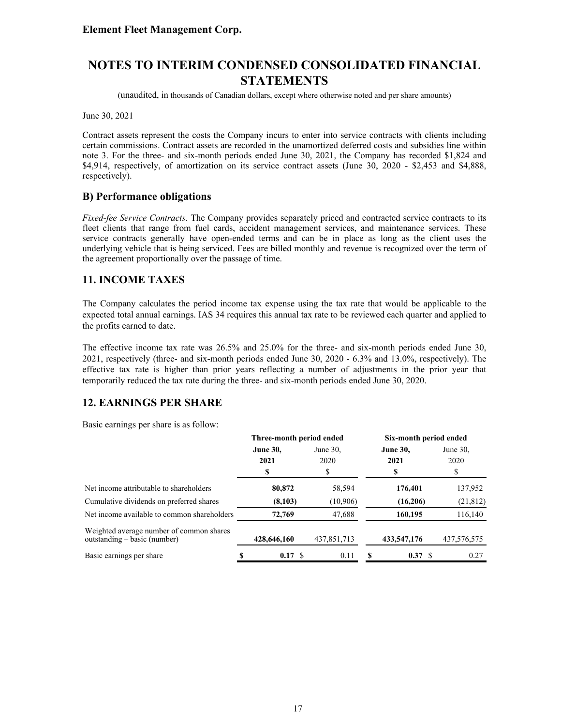(unaudited, in thousands of Canadian dollars, except where otherwise noted and per share amounts)

June 30, 2021

Contract assets represent the costs the Company incurs to enter into service contracts with clients including certain commissions. Contract assets are recorded in the unamortized deferred costs and subsidies line within note 3. For the three- and six-month periods ended June 30, 2021, the Company has recorded \$1,824 and \$4,914, respectively, of amortization on its service contract assets (June 30, 2020 - \$2,453 and \$4,888, respectively).

### **B) Performance obligations**

*Fixed-fee Service Contracts.* The Company provides separately priced and contracted service contracts to its fleet clients that range from fuel cards, accident management services, and maintenance services. These service contracts generally have open-ended terms and can be in place as long as the client uses the underlying vehicle that is being serviced. Fees are billed monthly and revenue is recognized over the term of the agreement proportionally over the passage of time.

### **11. INCOME TAXES**

The Company calculates the period income tax expense using the tax rate that would be applicable to the expected total annual earnings. IAS 34 requires this annual tax rate to be reviewed each quarter and applied to the profits earned to date.

The effective income tax rate was 26.5% and 25.0% for the three- and six-month periods ended June 30, 2021, respectively (three- and six-month periods ended June 30, 2020 - 6.3% and 13.0%, respectively). The effective tax rate is higher than prior years reflecting a number of adjustments in the prior year that temporarily reduced the tax rate during the three- and six-month periods ended June 30, 2020.

### **12. EARNINGS PER SHARE**

Basic earnings per share is as follow:

|                                                                            | Three-month period ended |             |             | Six-month period ended |                 |             |  |
|----------------------------------------------------------------------------|--------------------------|-------------|-------------|------------------------|-----------------|-------------|--|
|                                                                            | <b>June 30,</b>          |             | June $30$ . |                        | <b>June 30,</b> | June $30$ . |  |
|                                                                            |                          | 2021        | 2020        |                        | 2021            | 2020        |  |
|                                                                            |                          | S           | S           |                        | \$              | S           |  |
| Net income attributable to shareholders                                    |                          | 80,872      | 58,594      |                        | 176,401         | 137,952     |  |
| Cumulative dividends on preferred shares                                   |                          | (8,103)     | (10, 906)   |                        | (16,206)        | (21, 812)   |  |
| Net income available to common shareholders                                |                          | 72,769      | 47,688      |                        | 160,195         | 116,140     |  |
| Weighted average number of common shares<br>$outstanding - basic (number)$ |                          | 428,646,160 | 437,851,713 |                        | 433,547,176     | 437,576,575 |  |
| Basic earnings per share                                                   |                          | 0.17 S      | 0.11        |                        | 0.37 S          | 0.27        |  |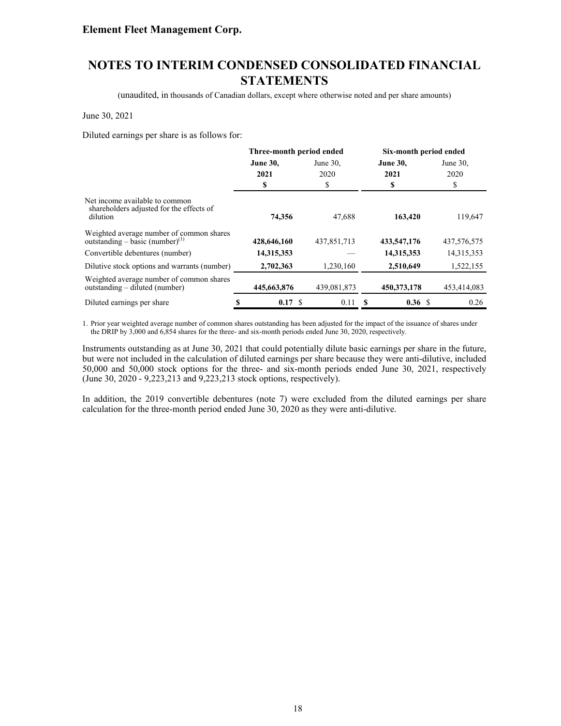(unaudited, in thousands of Canadian dollars, except where otherwise noted and per share amounts)

#### June 30, 2021

Diluted earnings per share is as follows for:

|                                                                                        | Three-month period ended |        |                     | Six-month period ended |                         |             |  |                     |
|----------------------------------------------------------------------------------------|--------------------------|--------|---------------------|------------------------|-------------------------|-------------|--|---------------------|
|                                                                                        | <b>June 30,</b><br>2021  |        | June $30$ .<br>2020 |                        | <b>June 30,</b><br>2021 |             |  | June $30$ .<br>2020 |
|                                                                                        | \$                       |        | \$                  |                        | \$                      | \$          |  |                     |
| Net income available to common<br>shareholders adjusted for the effects of<br>dilution |                          | 74,356 | 47,688              |                        | 163,420                 | 119,647     |  |                     |
| Weighted average number of common shares<br>outstanding – basic (number) $^{(1)}$      | 428,646,160              |        | 437,851,713         |                        | 433,547,176             | 437,576,575 |  |                     |
| Convertible debentures (number)                                                        | 14,315,353               |        |                     |                        | 14,315,353              | 14,315,353  |  |                     |
| Dilutive stock options and warrants (number)                                           | 2,702,363                |        | 1,230,160           |                        | 2,510,649               | 1,522,155   |  |                     |
| Weighted average number of common shares<br>outstanding – diluted (number)             | 445,663,876              |        | 439,081,873         |                        | 450,373,178             | 453,414,083 |  |                     |
| Diluted earnings per share                                                             |                          | 0.17 S | 0.11                |                        | 0.36 S                  | 0.26        |  |                     |

1. Prior year weighted average number of common shares outstanding has been adjusted for the impact of the issuance of shares under the DRIP by 3,000 and 6,854 shares for the three- and six-month periods ended June 30, 2020, respectively.

Instruments outstanding as at June 30, 2021 that could potentially dilute basic earnings per share in the future, but were not included in the calculation of diluted earnings per share because they were anti-dilutive, included 50,000 and 50,000 stock options for the three- and six-month periods ended June 30, 2021, respectively (June 30, 2020 - 9,223,213 and 9,223,213 stock options, respectively).

In addition, the 2019 convertible debentures (note 7) were excluded from the diluted earnings per share calculation for the three-month period ended June 30, 2020 as they were anti-dilutive.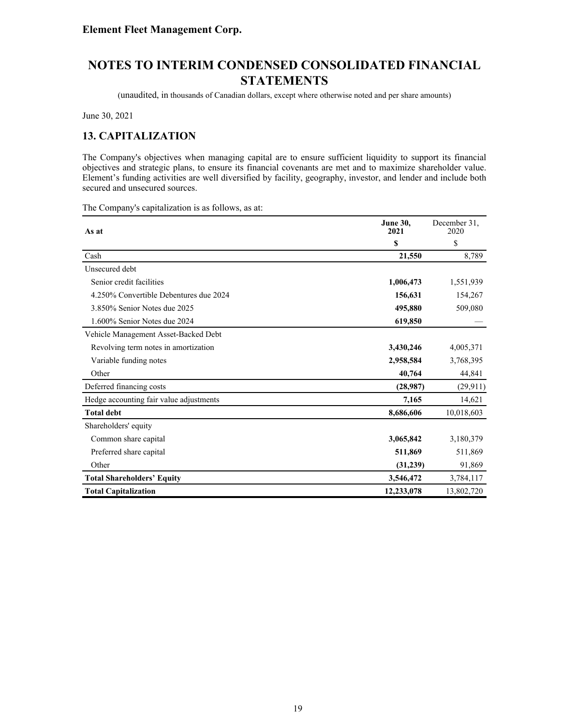(unaudited, in thousands of Canadian dollars, except where otherwise noted and per share amounts)

June 30, 2021

### **13. CAPITALIZATION**

The Company's objectives when managing capital are to ensure sufficient liquidity to support its financial objectives and strategic plans, to ensure its financial covenants are met and to maximize shareholder value. Element's funding activities are well diversified by facility, geography, investor, and lender and include both secured and unsecured sources.

The Company's capitalization is as follows, as at:

| As at                                   | <b>June 30.</b><br>2021 | December 31.<br>2020 |
|-----------------------------------------|-------------------------|----------------------|
|                                         | \$                      | \$                   |
| Cash                                    | 21,550                  | 8,789                |
| Unsecured debt                          |                         |                      |
| Senior credit facilities                | 1,006,473               | 1,551,939            |
| 4.250% Convertible Debentures due 2024  | 156,631                 | 154,267              |
| 3.850% Senior Notes due 2025            | 495,880                 | 509,080              |
| 1.600% Senior Notes due 2024            | 619,850                 |                      |
| Vehicle Management Asset-Backed Debt    |                         |                      |
| Revolving term notes in amortization    | 3,430,246               | 4,005,371            |
| Variable funding notes                  | 2,958,584               | 3,768,395            |
| Other                                   | 40,764                  | 44,841               |
| Deferred financing costs                | (28,987)                | (29, 911)            |
| Hedge accounting fair value adjustments | 7,165                   | 14,621               |
| <b>Total debt</b>                       | 8,686,606               | 10,018,603           |
| Shareholders' equity                    |                         |                      |
| Common share capital                    | 3,065,842               | 3,180,379            |
| Preferred share capital                 | 511,869                 | 511,869              |
| Other                                   | (31,239)                | 91,869               |
| <b>Total Shareholders' Equity</b>       | 3,546,472               | 3,784,117            |
| <b>Total Capitalization</b>             | 12,233,078              | 13,802,720           |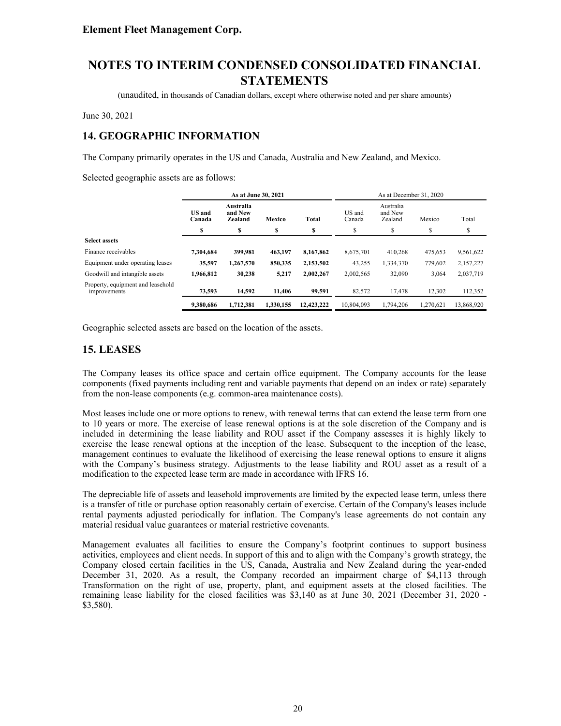(unaudited, in thousands of Canadian dollars, except where otherwise noted and per share amounts)

June 30, 2021

# **14. GEOGRAPHIC INFORMATION**

The Company primarily operates in the US and Canada, Australia and New Zealand, and Mexico.

Selected geographic assets are as follows:

|                                                   | As at June 30, 2021                                                                  |           |           |                  |                                 | As at December 31, 2020 |           |            |
|---------------------------------------------------|--------------------------------------------------------------------------------------|-----------|-----------|------------------|---------------------------------|-------------------------|-----------|------------|
|                                                   | Australia<br><b>US</b> and<br>and New<br><b>Total</b><br>Zealand<br>Mexico<br>Canada |           |           | US and<br>Canada | Australia<br>and New<br>Zealand | Mexico                  | Total     |            |
|                                                   | S                                                                                    | \$        | \$        | S                | \$                              | S                       | \$        | S          |
| <b>Select assets</b>                              |                                                                                      |           |           |                  |                                 |                         |           |            |
| Finance receivables                               | 7,304,684                                                                            | 399,981   | 463,197   | 8,167,862        | 8,675,701                       | 410,268                 | 475,653   | 9,561,622  |
| Equipment under operating leases                  | 35,597                                                                               | 1,267,570 | 850,335   | 2,153,502        | 43,255                          | 1,334,370               | 779.602   | 2,157,227  |
| Goodwill and intangible assets                    | 1.966.812                                                                            | 30,238    | 5,217     | 2.002.267        | 2,002,565                       | 32,090                  | 3,064     | 2,037,719  |
| Property, equipment and leasehold<br>improvements | 73,593                                                                               | 14,592    | 11.406    | 99,591           | 82,572                          | 17.478                  | 12,302    | 112,352    |
|                                                   | 9.380.686                                                                            | 1.712.381 | 1.330.155 | 12,423,222       | 10.804.093                      | 1.794.206               | 1.270.621 | 13,868,920 |

Geographic selected assets are based on the location of the assets.

### **15. LEASES**

The Company leases its office space and certain office equipment. The Company accounts for the lease components (fixed payments including rent and variable payments that depend on an index or rate) separately from the non-lease components (e.g. common-area maintenance costs).

Most leases include one or more options to renew, with renewal terms that can extend the lease term from one to 10 years or more. The exercise of lease renewal options is at the sole discretion of the Company and is included in determining the lease liability and ROU asset if the Company assesses it is highly likely to exercise the lease renewal options at the inception of the lease. Subsequent to the inception of the lease, management continues to evaluate the likelihood of exercising the lease renewal options to ensure it aligns with the Company's business strategy. Adjustments to the lease liability and ROU asset as a result of a modification to the expected lease term are made in accordance with IFRS 16.

The depreciable life of assets and leasehold improvements are limited by the expected lease term, unless there is a transfer of title or purchase option reasonably certain of exercise. Certain of the Company's leases include rental payments adjusted periodically for inflation. The Company's lease agreements do not contain any material residual value guarantees or material restrictive covenants.

Management evaluates all facilities to ensure the Company's footprint continues to support business activities, employees and client needs. In support of this and to align with the Company's growth strategy, the Company closed certain facilities in the US, Canada, Australia and New Zealand during the year-ended December 31, 2020. As a result, the Company recorded an impairment charge of \$4,113 through Transformation on the right of use, property, plant, and equipment assets at the closed facilities. The remaining lease liability for the closed facilities was \$3,140 as at June 30, 2021 (December 31, 2020 - \$3,580).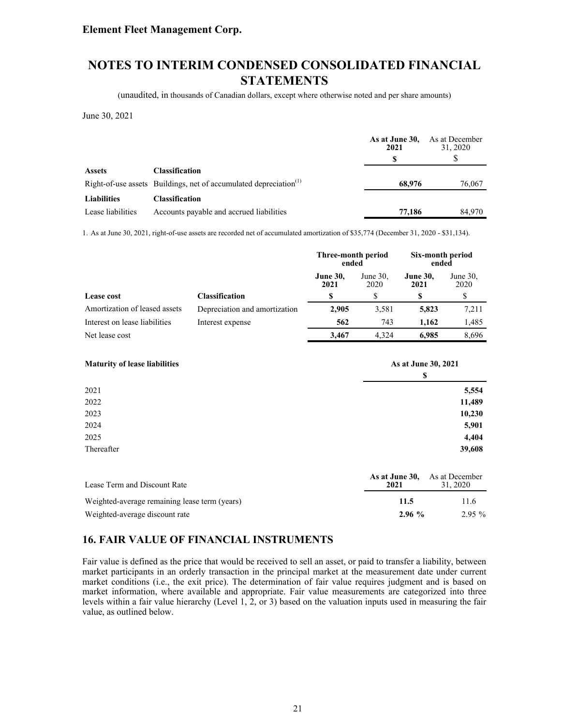(unaudited, in thousands of Canadian dollars, except where otherwise noted and per share amounts)

June 30, 2021

|                    |                                                                               | As at June 30,<br>2021 | As at December<br>31, 2020 |
|--------------------|-------------------------------------------------------------------------------|------------------------|----------------------------|
|                    |                                                                               |                        |                            |
| <b>Assets</b>      | <b>Classification</b>                                                         |                        |                            |
|                    | Right-of-use assets Buildings, net of accumulated depreciation <sup>(1)</sup> | 68,976                 | 76,067                     |
| <b>Liabilities</b> | <b>Classification</b>                                                         |                        |                            |
| Lease liabilities  | Accounts payable and accrued liabilities                                      | 77,186                 | 84.970                     |

1. As at June 30, 2021, right-of-use assets are recorded net of accumulated amortization of \$35,774 (December 31, 2020 - \$31,134).

|                               |                               | Three-month period<br>ended |                     | Six-month period<br>ended |                     |
|-------------------------------|-------------------------------|-----------------------------|---------------------|---------------------------|---------------------|
|                               |                               | <b>June 30.</b><br>2021     | June $30$ .<br>2020 | <b>June 30,</b><br>2021   | June $30$ .<br>2020 |
| Lease cost                    | <b>Classification</b>         |                             | S                   | S                         | S                   |
| Amortization of leased assets | Depreciation and amortization | 2,905                       | 3,581               | 5,823                     | 7,211               |
| Interest on lease liabilities | Interest expense              | 562                         | 743                 | 1.162                     | 1,485               |
| Net lease cost                |                               | 3,467                       | 4.324               | 6.985                     | 8,696               |

| <b>Maturity of lease liabilities</b> | As at June 30, 2021 |
|--------------------------------------|---------------------|
|                                      | <b>S</b>            |
| 2021                                 | 5,554               |
| 2022                                 | 11,489              |
| 2023                                 | 10,230              |
| 2024                                 | 5,901               |
| 2025                                 | 4,404               |
| Thereafter                           | 39,608              |

| Lease Term and Discount Rate                  | 2021  | <b>As at June 30.</b> As at December<br>31.2020 |
|-----------------------------------------------|-------|-------------------------------------------------|
| Weighted-average remaining lease term (years) | 11.5  | 11.6                                            |
| Weighted-average discount rate                | 2.96% | $2.95\%$                                        |

### **16. FAIR VALUE OF FINANCIAL INSTRUMENTS**

Fair value is defined as the price that would be received to sell an asset, or paid to transfer a liability, between market participants in an orderly transaction in the principal market at the measurement date under current market conditions (i.e., the exit price). The determination of fair value requires judgment and is based on market information, where available and appropriate. Fair value measurements are categorized into three levels within a fair value hierarchy (Level 1, 2, or 3) based on the valuation inputs used in measuring the fair value, as outlined below.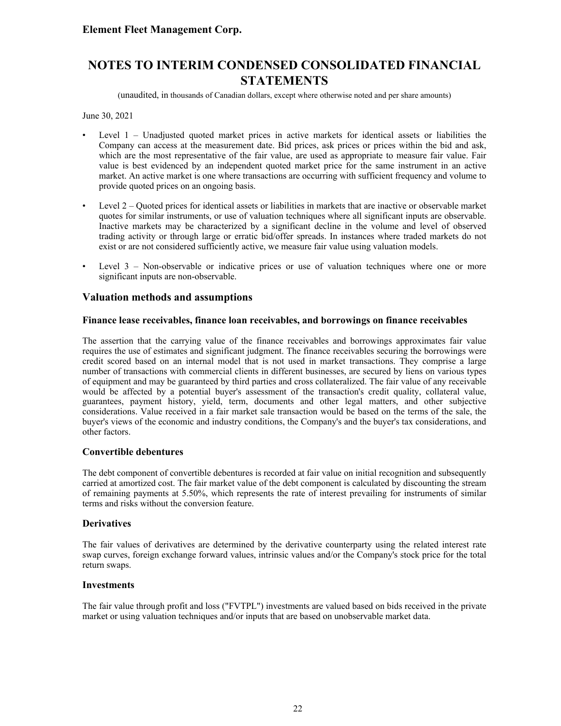(unaudited, in thousands of Canadian dollars, except where otherwise noted and per share amounts)

June 30, 2021

- Level 1 Unadjusted quoted market prices in active markets for identical assets or liabilities the Company can access at the measurement date. Bid prices, ask prices or prices within the bid and ask, which are the most representative of the fair value, are used as appropriate to measure fair value. Fair value is best evidenced by an independent quoted market price for the same instrument in an active market. An active market is one where transactions are occurring with sufficient frequency and volume to provide quoted prices on an ongoing basis.
- Level 2 Quoted prices for identical assets or liabilities in markets that are inactive or observable market quotes for similar instruments, or use of valuation techniques where all significant inputs are observable. Inactive markets may be characterized by a significant decline in the volume and level of observed trading activity or through large or erratic bid/offer spreads. In instances where traded markets do not exist or are not considered sufficiently active, we measure fair value using valuation models.
- Level  $3 -$  Non-observable or indicative prices or use of valuation techniques where one or more significant inputs are non-observable.

#### **Valuation methods and assumptions**

#### **Finance lease receivables, finance loan receivables, and borrowings on finance receivables**

The assertion that the carrying value of the finance receivables and borrowings approximates fair value requires the use of estimates and significant judgment. The finance receivables securing the borrowings were credit scored based on an internal model that is not used in market transactions. They comprise a large number of transactions with commercial clients in different businesses, are secured by liens on various types of equipment and may be guaranteed by third parties and cross collateralized. The fair value of any receivable would be affected by a potential buyer's assessment of the transaction's credit quality, collateral value, guarantees, payment history, yield, term, documents and other legal matters, and other subjective considerations. Value received in a fair market sale transaction would be based on the terms of the sale, the buyer's views of the economic and industry conditions, the Company's and the buyer's tax considerations, and other factors.

#### **Convertible debentures**

The debt component of convertible debentures is recorded at fair value on initial recognition and subsequently carried at amortized cost. The fair market value of the debt component is calculated by discounting the stream of remaining payments at 5.50%, which represents the rate of interest prevailing for instruments of similar terms and risks without the conversion feature.

#### **Derivatives**

The fair values of derivatives are determined by the derivative counterparty using the related interest rate swap curves, foreign exchange forward values, intrinsic values and/or the Company's stock price for the total return swaps.

#### **Investments**

The fair value through profit and loss ("FVTPL") investments are valued based on bids received in the private market or using valuation techniques and/or inputs that are based on unobservable market data.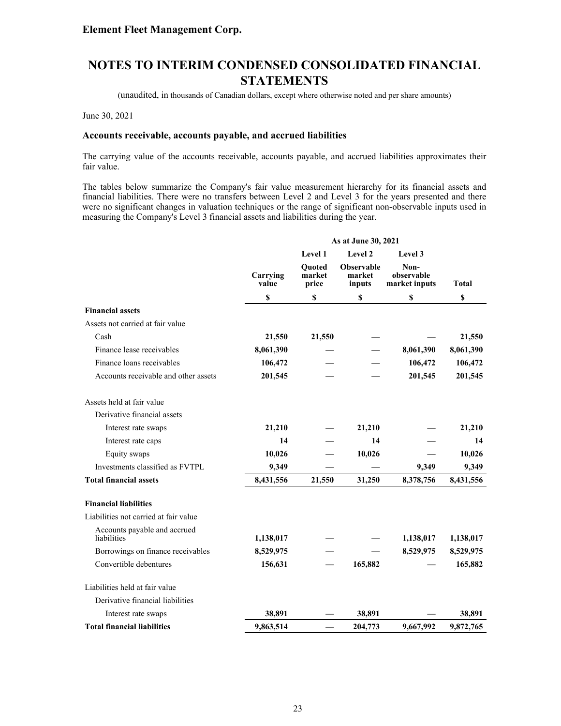(unaudited, in thousands of Canadian dollars, except where otherwise noted and per share amounts)

June 30, 2021

#### **Accounts receivable, accounts payable, and accrued liabilities**

The carrying value of the accounts receivable, accounts payable, and accrued liabilities approximates their fair value.

The tables below summarize the Company's fair value measurement hierarchy for its financial assets and financial liabilities. There were no transfers between Level 2 and Level 3 for the years presented and there were no significant changes in valuation techniques or the range of significant non-observable inputs used in measuring the Company's Level 3 financial assets and liabilities during the year.

|                                             | As at June 30, 2021 |                           |                                       |                                     |              |  |
|---------------------------------------------|---------------------|---------------------------|---------------------------------------|-------------------------------------|--------------|--|
|                                             |                     | Level 3                   |                                       |                                     |              |  |
|                                             | Carrying<br>value   | Quoted<br>market<br>price | <b>Observable</b><br>market<br>inputs | Non-<br>observable<br>market inputs | <b>Total</b> |  |
|                                             | \$                  | \$                        | \$                                    | \$                                  | \$           |  |
| <b>Financial assets</b>                     |                     |                           |                                       |                                     |              |  |
| Assets not carried at fair value            |                     |                           |                                       |                                     |              |  |
| Cash                                        | 21,550              | 21,550                    |                                       |                                     | 21,550       |  |
| Finance lease receivables                   | 8,061,390           |                           |                                       | 8,061,390                           | 8,061,390    |  |
| Finance loans receivables                   | 106,472             |                           |                                       | 106,472                             | 106,472      |  |
| Accounts receivable and other assets        | 201,545             |                           |                                       | 201,545                             | 201,545      |  |
| Assets held at fair value                   |                     |                           |                                       |                                     |              |  |
| Derivative financial assets                 |                     |                           |                                       |                                     |              |  |
| Interest rate swaps                         | 21,210              |                           | 21,210                                |                                     | 21,210       |  |
| Interest rate caps                          | 14                  |                           | 14                                    |                                     | 14           |  |
| Equity swaps                                | 10,026              |                           | 10,026                                |                                     | 10,026       |  |
| Investments classified as FVTPL             | 9,349               |                           |                                       | 9,349                               | 9,349        |  |
| <b>Total financial assets</b>               | 8,431,556           | 21,550                    | 31,250                                | 8,378,756                           | 8,431,556    |  |
| <b>Financial liabilities</b>                |                     |                           |                                       |                                     |              |  |
| Liabilities not carried at fair value       |                     |                           |                                       |                                     |              |  |
| Accounts payable and accrued<br>liabilities | 1,138,017           |                           |                                       | 1,138,017                           | 1,138,017    |  |
| Borrowings on finance receivables           | 8,529,975           |                           |                                       | 8,529,975                           | 8,529,975    |  |
| Convertible debentures                      | 156,631             |                           | 165,882                               |                                     | 165,882      |  |
| Liabilities held at fair value              |                     |                           |                                       |                                     |              |  |
| Derivative financial liabilities            |                     |                           |                                       |                                     |              |  |
| Interest rate swaps                         | 38,891              |                           | 38,891                                |                                     | 38,891       |  |
| <b>Total financial liabilities</b>          | 9,863,514           |                           | 204,773                               | 9,667,992                           | 9,872,765    |  |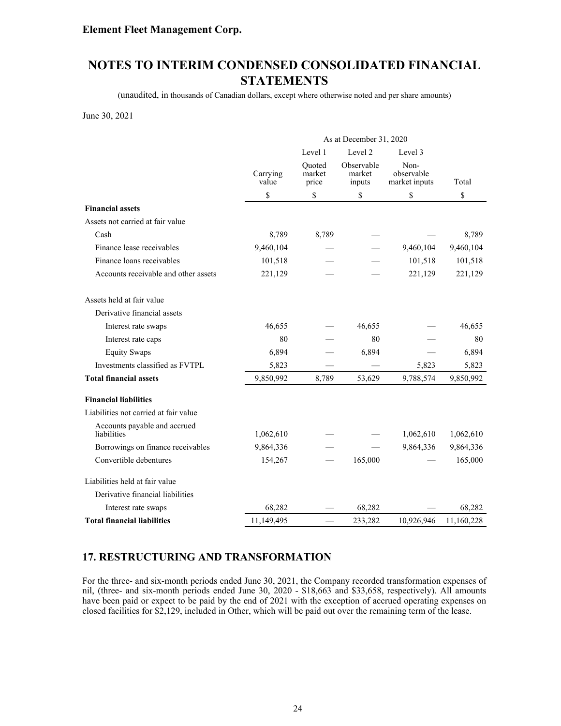# **NOTES TO INTERIM CONDENSED CONSOLIDATED FINANCIAL STATEMENTS**

(unaudited, in thousands of Canadian dollars, except where otherwise noted and per share amounts)

June 30, 2021

|                                             | As at December 31, 2020       |                           |                                |                                     |            |  |
|---------------------------------------------|-------------------------------|---------------------------|--------------------------------|-------------------------------------|------------|--|
|                                             | Level 2<br>Level 1<br>Level 3 |                           |                                |                                     |            |  |
|                                             | Carrying<br>value             | Ouoted<br>market<br>price | Observable<br>market<br>inputs | Non-<br>observable<br>market inputs | Total      |  |
|                                             | \$                            | \$                        | \$                             | \$                                  | \$         |  |
| <b>Financial assets</b>                     |                               |                           |                                |                                     |            |  |
| Assets not carried at fair value            |                               |                           |                                |                                     |            |  |
| Cash                                        | 8,789                         | 8,789                     |                                |                                     | 8,789      |  |
| Finance lease receivables                   | 9,460,104                     |                           |                                | 9,460,104                           | 9,460,104  |  |
| Finance loans receivables                   | 101,518                       |                           |                                | 101,518                             | 101,518    |  |
| Accounts receivable and other assets        | 221,129                       |                           |                                | 221,129                             | 221,129    |  |
| Assets held at fair value                   |                               |                           |                                |                                     |            |  |
| Derivative financial assets                 |                               |                           |                                |                                     |            |  |
| Interest rate swaps                         | 46,655                        |                           | 46,655                         |                                     | 46,655     |  |
| Interest rate caps                          | 80                            |                           | 80                             |                                     | 80         |  |
| <b>Equity Swaps</b>                         | 6,894                         |                           | 6,894                          |                                     | 6,894      |  |
| Investments classified as FVTPL             | 5,823                         |                           |                                | 5,823                               | 5,823      |  |
| <b>Total financial assets</b>               | 9,850,992                     | 8,789                     | 53,629                         | 9,788,574                           | 9,850,992  |  |
| <b>Financial liabilities</b>                |                               |                           |                                |                                     |            |  |
| Liabilities not carried at fair value       |                               |                           |                                |                                     |            |  |
| Accounts payable and accrued<br>liabilities | 1,062,610                     |                           |                                | 1,062,610                           | 1,062,610  |  |
| Borrowings on finance receivables           | 9,864,336                     |                           |                                | 9,864,336                           | 9,864,336  |  |
| Convertible debentures                      | 154,267                       |                           | 165,000                        |                                     | 165,000    |  |
| Liabilities held at fair value              |                               |                           |                                |                                     |            |  |
| Derivative financial liabilities            |                               |                           |                                |                                     |            |  |
| Interest rate swaps                         | 68,282                        |                           | 68,282                         |                                     | 68,282     |  |
| <b>Total financial liabilities</b>          | 11,149,495                    |                           | 233,282                        | 10,926,946                          | 11,160,228 |  |

### **17. RESTRUCTURING AND TRANSFORMATION**

For the three- and six-month periods ended June 30, 2021, the Company recorded transformation expenses of nil, (three- and six-month periods ended June 30, 2020 - \$18,663 and \$33,658, respectively). All amounts have been paid or expect to be paid by the end of 2021 with the exception of accrued operating expenses on closed facilities for \$2,129, included in Other, which will be paid out over the remaining term of the lease.